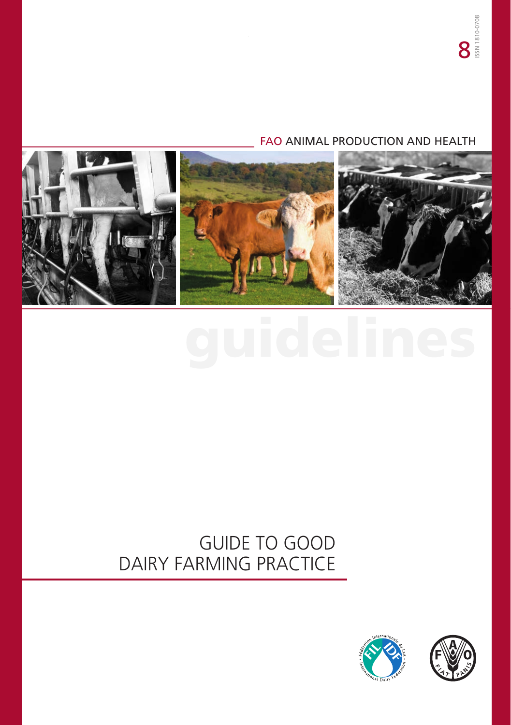# FAO ANIMAL PRODUCTION AND HEALTH



# guidelines

# GUIDE TO GOOD DAIRY FARMING PRACTICE



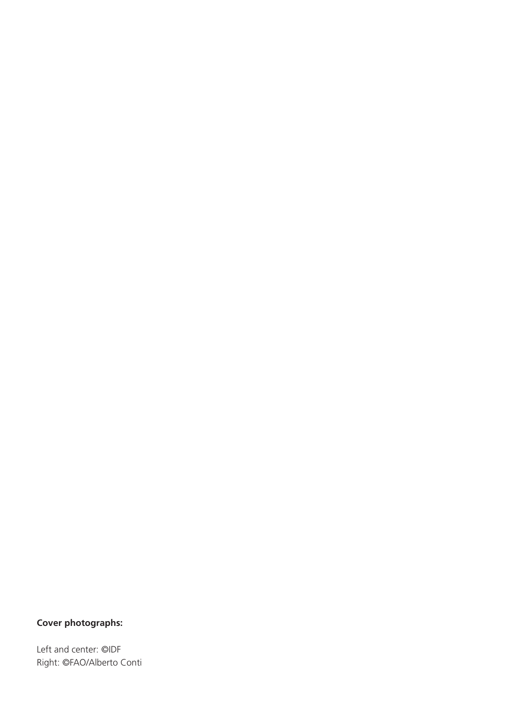# **Cover photographs:**

Left and center: ©IDF Right: ©FAO/Alberto Conti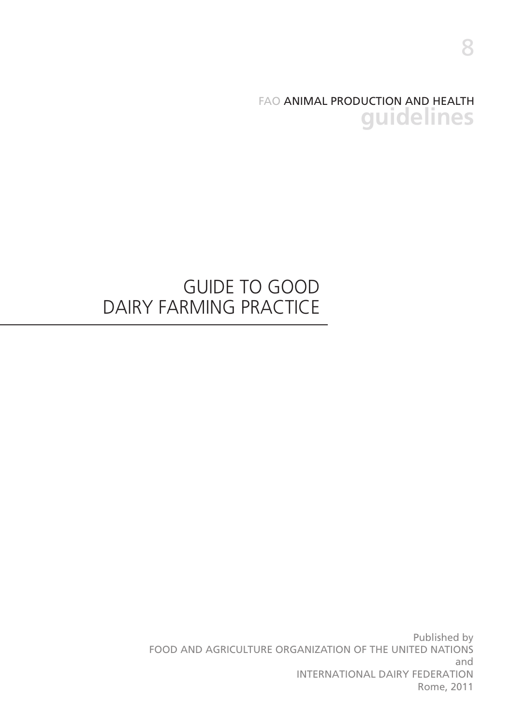FAO ANIMAL PRODUCTION AND HEALTH **guidelines**

# GUIDE TO GOOD DAIRY FARMING PRACTICE

Published by FOOD AND AGRICULTURE ORGANIZATION OF THE UNITED NATIONS and INTERNATIONAL DAIRY FEDERATION Rome, 2011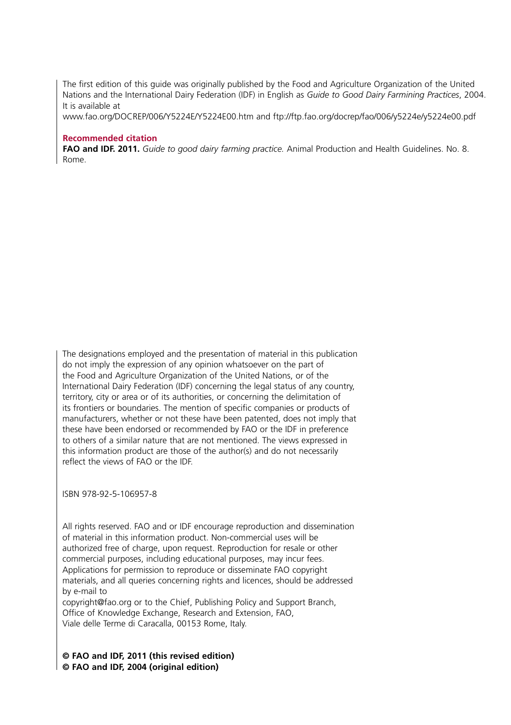The first edition of this guide was originally published by the Food and Agriculture Organization of the United Nations and the International Dairy Federation (IDF) in English as *Guide to Good Dairy Farmining Practices*, 2004. It is available at

www.fao.org/DOCREP/006/Y5224E/Y5224E00.htm and ftp://ftp.fao.org/docrep/fao/006/y5224e/y5224e00.pdf

#### **Recommended citation**

**FAO and IDF. 2011.** *Guide to good dairy farming practice.* Animal Production and Health Guidelines. No. 8. Rome.

The designations employed and the presentation of material in this publication do not imply the expression of any opinion whatsoever on the part of the Food and Agriculture Organization of the United Nations, or of the International Dairy Federation (IDF) concerning the legal status of any country, territory, city or area or of its authorities, or concerning the delimitation of its frontiers or boundaries. The mention of specific companies or products of manufacturers, whether or not these have been patented, does not imply that these have been endorsed or recommended by FAO or the IDF in preference to others of a similar nature that are not mentioned. The views expressed in this information product are those of the author(s) and do not necessarily reflect the views of FAO or the IDF.

ISBN 978-92-5-106957-8

All rights reserved. FAO and or IDF encourage reproduction and dissemination of material in this information product. Non-commercial uses will be authorized free of charge, upon request. Reproduction for resale or other commercial purposes, including educational purposes, may incur fees. Applications for permission to reproduce or disseminate FAO copyright materials, and all queries concerning rights and licences, should be addressed by e-mail to

copyright@fao.org or to the Chief, Publishing Policy and Support Branch, Office of Knowledge Exchange, Research and Extension, FAO, Viale delle Terme di Caracalla, 00153 Rome, Italy.

#### **© FAO and IDF, 2011 (this revised edition) © FAO and IDF, 2004 (original edition)**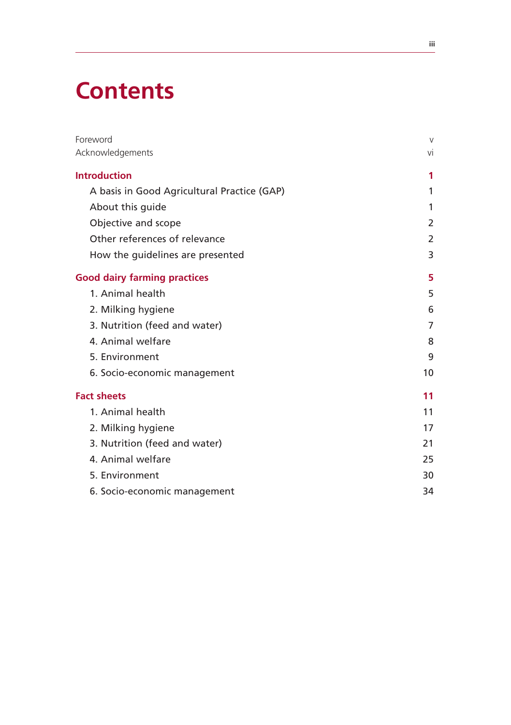# **Contents**

| Foreword                                    | V  |
|---------------------------------------------|----|
| Acknowledgements                            | vi |
| <b>Introduction</b>                         | 1  |
| A basis in Good Agricultural Practice (GAP) | 1  |
| About this guide                            | 1  |
| Objective and scope                         | 2  |
| Other references of relevance               | 2  |
| How the guidelines are presented            | 3  |
| <b>Good dairy farming practices</b>         | 5  |
| 1. Animal health                            | 5  |
| 2. Milking hygiene                          | 6  |
| 3. Nutrition (feed and water)               | 7  |
| 4. Animal welfare                           | 8  |
| 5. Environment                              | 9  |
| 6. Socio-economic management                | 10 |
| <b>Fact sheets</b>                          | 11 |
| 1. Animal health                            | 11 |
| 2. Milking hygiene                          | 17 |
| 3. Nutrition (feed and water)               | 21 |
| 4. Animal welfare                           | 25 |
| 5. Environment                              | 30 |
| 6. Socio-economic management                | 34 |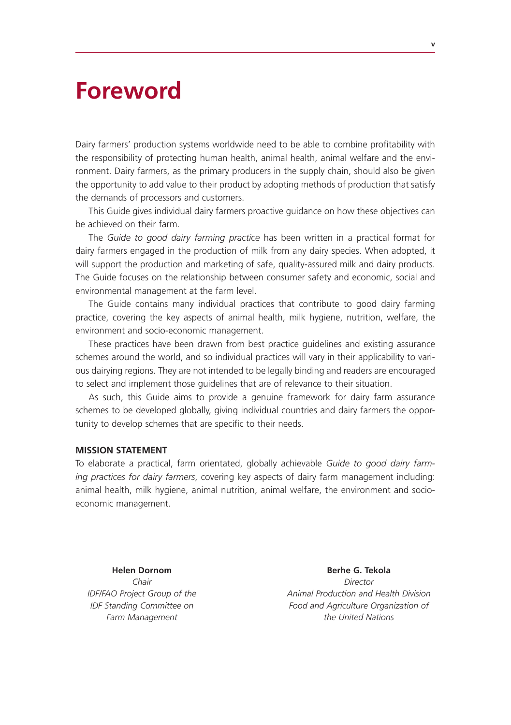# **Foreword**

Dairy farmers' production systems worldwide need to be able to combine profitability with the responsibility of protecting human health, animal health, animal welfare and the environment. Dairy farmers, as the primary producers in the supply chain, should also be given the opportunity to add value to their product by adopting methods of production that satisfy the demands of processors and customers.

This Guide gives individual dairy farmers proactive guidance on how these objectives can be achieved on their farm.

The *Guide to good dairy farming practice* has been written in a practical format for dairy farmers engaged in the production of milk from any dairy species. When adopted, it will support the production and marketing of safe, quality-assured milk and dairy products. The Guide focuses on the relationship between consumer safety and economic, social and environmental management at the farm level.

The Guide contains many individual practices that contribute to good dairy farming practice, covering the key aspects of animal health, milk hygiene, nutrition, welfare, the environment and socio-economic management.

These practices have been drawn from best practice guidelines and existing assurance schemes around the world, and so individual practices will vary in their applicability to various dairying regions. They are not intended to be legally binding and readers are encouraged to select and implement those guidelines that are of relevance to their situation.

As such, this Guide aims to provide a genuine framework for dairy farm assurance schemes to be developed globally, giving individual countries and dairy farmers the opportunity to develop schemes that are specific to their needs.

#### **MISSION STATEMENT**

To elaborate a practical, farm orientated, globally achievable *Guide to good dairy farming practices for dairy farmers*, covering key aspects of dairy farm management including: animal health, milk hygiene, animal nutrition, animal welfare, the environment and socioeconomic management.

**Helen Dornom Communication Communication Communication Berhe G. Tekola** *Chair Director IDF/FAO Project Group of the Animal Production and Health Division IDF Standing Committee on Food and Agriculture Organization of Farm Management the United Nations*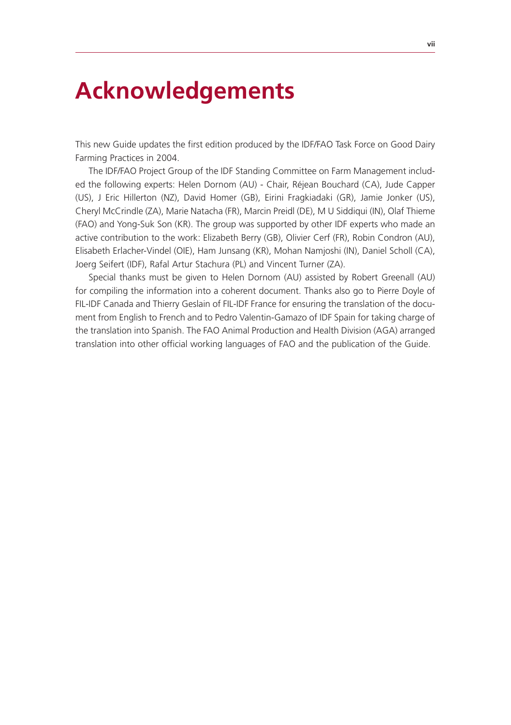# **Acknowledgements**

This new Guide updates the first edition produced by the IDF/FAO Task Force on Good Dairy Farming Practices in 2004.

The IDF/FAO Project Group of the IDF Standing Committee on Farm Management included the following experts: Helen Dornom (AU) - Chair, Réjean Bouchard (CA), Jude Capper (US), J Eric Hillerton (NZ), David Homer (GB), Eirini Fragkiadaki (GR), Jamie Jonker (US), Cheryl McCrindle (ZA), Marie Natacha (FR), Marcin Preidl (DE), M U Siddiqui (IN), Olaf Thieme (FAO) and Yong-Suk Son (KR). The group was supported by other IDF experts who made an active contribution to the work: Elizabeth Berry (GB), Olivier Cerf (FR), Robin Condron (AU), Elisabeth Erlacher-Vindel (OIE), Ham Junsang (KR), Mohan Namjoshi (IN), Daniel Scholl (CA), Joerg Seifert (IDF), Rafal Artur Stachura (PL) and Vincent Turner (ZA).

Special thanks must be given to Helen Dornom (AU) assisted by Robert Greenall (AU) for compiling the information into a coherent document. Thanks also go to Pierre Doyle of FIL-IDF Canada and Thierry Geslain of FIL-IDF France for ensuring the translation of the document from English to French and to Pedro Valentin-Gamazo of IDF Spain for taking charge of the translation into Spanish. The FAO Animal Production and Health Division (AGA) arranged translation into other official working languages of FAO and the publication of the Guide.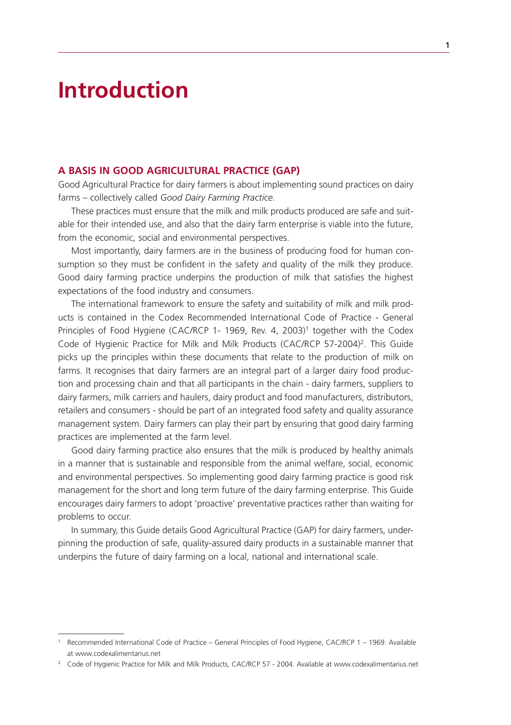# **Introduction**

#### **A BASIS IN GOOD AGRICULTURAL PRACTICE (GAP)**

Good Agricultural Practice for dairy farmers is about implementing sound practices on dairy farms – collectively called *Good Dairy Farming Practice.* 

These practices must ensure that the milk and milk products produced are safe and suitable for their intended use, and also that the dairy farm enterprise is viable into the future, from the economic, social and environmental perspectives.

Most importantly, dairy farmers are in the business of producing food for human consumption so they must be confident in the safety and quality of the milk they produce. Good dairy farming practice underpins the production of milk that satisfies the highest expectations of the food industry and consumers.

The international framework to ensure the safety and suitability of milk and milk products is contained in the Codex Recommended International Code of Practice - General Principles of Food Hygiene (CAC/RCP 1- 1969, Rev. 4, 2003)<sup>1</sup> together with the Codex Code of Hygienic Practice for Milk and Milk Products (CAC/RCP 57-2004)<sup>2</sup>. This Guide picks up the principles within these documents that relate to the production of milk on farms. It recognises that dairy farmers are an integral part of a larger dairy food production and processing chain and that all participants in the chain - dairy farmers, suppliers to dairy farmers, milk carriers and haulers, dairy product and food manufacturers, distributors, retailers and consumers - should be part of an integrated food safety and quality assurance management system. Dairy farmers can play their part by ensuring that good dairy farming practices are implemented at the farm level.

Good dairy farming practice also ensures that the milk is produced by healthy animals in a manner that is sustainable and responsible from the animal welfare, social, economic and environmental perspectives. So implementing good dairy farming practice is good risk management for the short and long term future of the dairy farming enterprise. This Guide encourages dairy farmers to adopt 'proactive' preventative practices rather than waiting for problems to occur.

In summary, this Guide details Good Agricultural Practice (GAP) for dairy farmers, underpinning the production of safe, quality-assured dairy products in a sustainable manner that underpins the future of dairy farming on a local, national and international scale.

<sup>1</sup> Recommended International Code of Practice – General Principles of Food Hygiene, CAC/RCP 1 – 1969. Available at www.codexalimentarius.net

<sup>&</sup>lt;sup>2</sup> Code of Hygienic Practice for Milk and Milk Products, CAC/RCP 57 - 2004. Available at www.codexalimentarius.net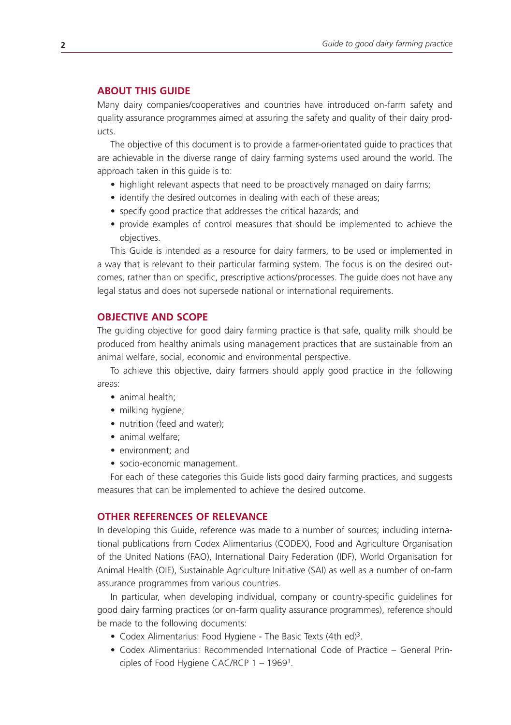# **ABOUT THIS GUIDE**

Many dairy companies/cooperatives and countries have introduced on-farm safety and quality assurance programmes aimed at assuring the safety and quality of their dairy products.

The objective of this document is to provide a farmer-orientated guide to practices that are achievable in the diverse range of dairy farming systems used around the world. The approach taken in this guide is to:

- highlight relevant aspects that need to be proactively managed on dairy farms;
- identify the desired outcomes in dealing with each of these areas;
- specify good practice that addresses the critical hazards; and
- provide examples of control measures that should be implemented to achieve the objectives.

This Guide is intended as a resource for dairy farmers, to be used or implemented in a way that is relevant to their particular farming system. The focus is on the desired outcomes, rather than on specific, prescriptive actions/processes. The guide does not have any legal status and does not supersede national or international requirements.

# **OBJECTIVE AND SCOPE**

The guiding objective for good dairy farming practice is that safe, quality milk should be produced from healthy animals using management practices that are sustainable from an animal welfare, social, economic and environmental perspective.

To achieve this objective, dairy farmers should apply good practice in the following areas:

- animal health;
- milking hygiene;
- nutrition (feed and water);
- animal welfare:
- environment; and
- socio-economic management.

For each of these categories this Guide lists good dairy farming practices, and suggests measures that can be implemented to achieve the desired outcome.

### **OTHER REFERENCES OF RELEVANCE**

In developing this Guide, reference was made to a number of sources; including international publications from Codex Alimentarius (CODEX), Food and Agriculture Organisation of the United Nations (FAO), International Dairy Federation (IDF), World Organisation for Animal Health (OIE), Sustainable Agriculture Initiative (SAI) as well as a number of on-farm assurance programmes from various countries.

In particular, when developing individual, company or country-specific guidelines for good dairy farming practices (or on-farm quality assurance programmes), reference should be made to the following documents:

- Codex Alimentarius: Food Hygiene The Basic Texts (4th ed)<sup>3</sup>.
- • Codex Alimentarius: Recommended International Code of Practice General Principles of Food Hygiene CAC/RCP 1 – 19693.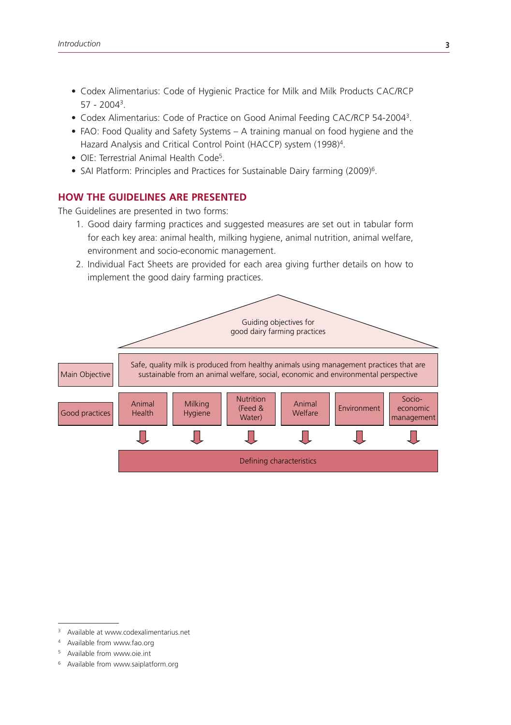- • Codex Alimentarius: Code of Hygienic Practice for Milk and Milk Products CAC/RCP 57 - 20043.
- Codex Alimentarius: Code of Practice on Good Animal Feeding CAC/RCP 54-2004<sup>3</sup>.
- FAO: Food Quality and Safety Systems A training manual on food hygiene and the Hazard Analysis and Critical Control Point (HACCP) system (1998)4.
- OIE: Terrestrial Animal Health Code<sup>5</sup>.
- SAI Platform: Principles and Practices for Sustainable Dairy farming (2009)<sup>6</sup>.

#### **HOW THE GUIDELINES ARE PRESENTED**

The Guidelines are presented in two forms:

- 1. Good dairy farming practices and suggested measures are set out in tabular form for each key area: animal health, milking hygiene, animal nutrition, animal welfare, environment and socio-economic management.
- 2. Individual Fact Sheets are provided for each area giving further details on how to implement the good dairy farming practices.



- Available from www.oie.int
- <sup>6</sup> Available from www.saiplatform.org

Available at www.codexalimentarius.net

<sup>4</sup> Available from www.fao.org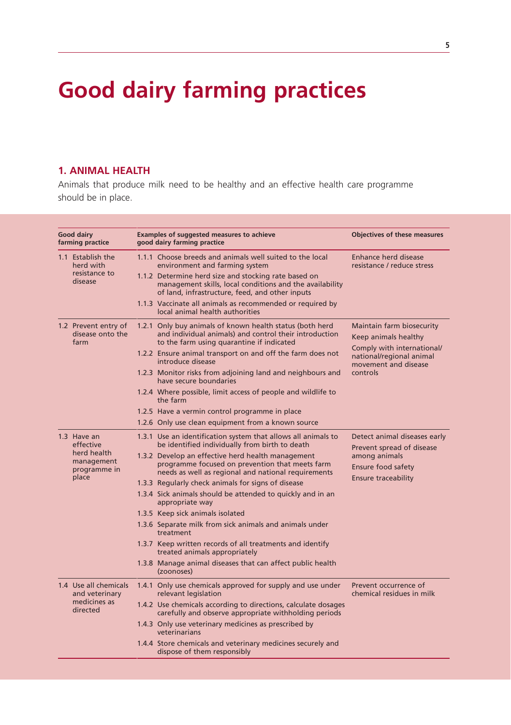# **Good dairy farming practices**

# **1. ANIMAL HEALTH**

Animals that produce milk need to be healthy and an effective health care programme should be in place.

| <b>Good dairy</b><br>farming practice                      | <b>Examples of suggested measures to achieve</b><br>good dairy farming practice |                                                                                                                                                                 | <b>Objectives of these measures</b>                                            |  |
|------------------------------------------------------------|---------------------------------------------------------------------------------|-----------------------------------------------------------------------------------------------------------------------------------------------------------------|--------------------------------------------------------------------------------|--|
| 1.1 Establish the<br>herd with<br>resistance to<br>disease |                                                                                 | 1.1.1 Choose breeds and animals well suited to the local<br>environment and farming system<br>1.1.2 Determine herd size and stocking rate based on              | Enhance herd disease<br>resistance / reduce stress                             |  |
|                                                            |                                                                                 | management skills, local conditions and the availability<br>of land, infrastructure, feed, and other inputs                                                     |                                                                                |  |
|                                                            |                                                                                 | 1.1.3 Vaccinate all animals as recommended or required by<br>local animal health authorities                                                                    |                                                                                |  |
| 1.2 Prevent entry of<br>disease onto the<br>farm           |                                                                                 | 1.2.1 Only buy animals of known health status (both herd<br>and individual animals) and control their introduction<br>to the farm using quarantine if indicated | Maintain farm biosecurity<br>Keep animals healthy                              |  |
|                                                            |                                                                                 | 1.2.2 Ensure animal transport on and off the farm does not<br>introduce disease                                                                                 | Comply with international/<br>national/regional animal<br>movement and disease |  |
|                                                            |                                                                                 | 1.2.3 Monitor risks from adjoining land and neighbours and<br>have secure boundaries                                                                            | controls                                                                       |  |
|                                                            |                                                                                 | 1.2.4 Where possible, limit access of people and wildlife to<br>the farm                                                                                        |                                                                                |  |
|                                                            |                                                                                 | 1.2.5 Have a vermin control programme in place                                                                                                                  |                                                                                |  |
|                                                            |                                                                                 | 1.2.6 Only use clean equipment from a known source                                                                                                              |                                                                                |  |
| 1.3 Have an<br>effective                                   |                                                                                 | 1.3.1 Use an identification system that allows all animals to<br>be identified individually from birth to death                                                 | Detect animal diseases early<br>Prevent spread of disease                      |  |
| herd health<br>management<br>programme in<br>place         |                                                                                 | 1.3.2 Develop an effective herd health management<br>programme focused on prevention that meets farm<br>needs as well as regional and national requirements     | among animals<br>Ensure food safety                                            |  |
|                                                            |                                                                                 | 1.3.3 Regularly check animals for signs of disease                                                                                                              | <b>Ensure traceability</b>                                                     |  |
|                                                            |                                                                                 | 1.3.4 Sick animals should be attended to quickly and in an<br>appropriate way                                                                                   |                                                                                |  |
|                                                            |                                                                                 | 1.3.5 Keep sick animals isolated                                                                                                                                |                                                                                |  |
|                                                            |                                                                                 | 1.3.6 Separate milk from sick animals and animals under<br>treatment                                                                                            |                                                                                |  |
|                                                            |                                                                                 | 1.3.7 Keep written records of all treatments and identify<br>treated animals appropriately                                                                      |                                                                                |  |
|                                                            |                                                                                 | 1.3.8 Manage animal diseases that can affect public health<br>(zoonoses)                                                                                        |                                                                                |  |
| 1.4 Use all chemicals<br>and veterinary                    |                                                                                 | 1.4.1 Only use chemicals approved for supply and use under<br>relevant legislation                                                                              | Prevent occurrence of<br>chemical residues in milk                             |  |
| medicines as<br>directed                                   |                                                                                 | 1.4.2 Use chemicals according to directions, calculate dosages<br>carefully and observe appropriate withholding periods                                         |                                                                                |  |
|                                                            |                                                                                 | 1.4.3 Only use veterinary medicines as prescribed by<br>veterinarians                                                                                           |                                                                                |  |
|                                                            |                                                                                 | 1.4.4 Store chemicals and veterinary medicines securely and<br>dispose of them responsibly                                                                      |                                                                                |  |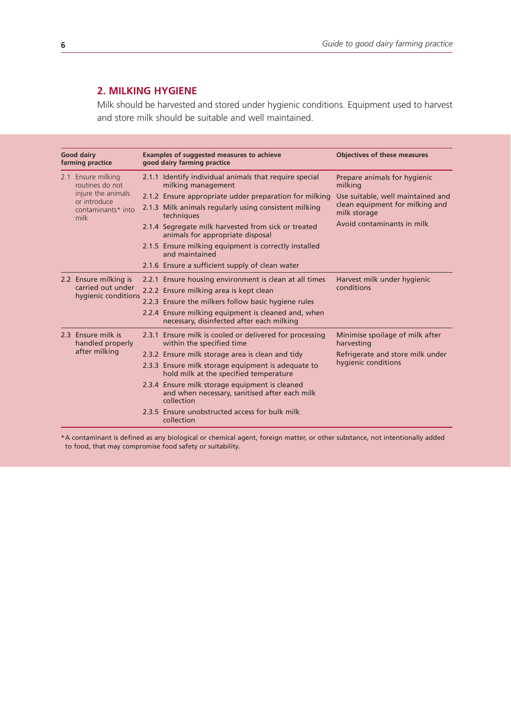# **2. MILKING HYGIENE**

Milk should be harvested and stored under hygienic conditions. Equipment used to harvest and store milk should be suitable and well maintained.

|  | <b>Good dairy</b><br>farming practice                                                                     | Examples of suggested measures to achieve<br>good dairy farming practice                                      | <b>Objectives of these measures</b>             |
|--|-----------------------------------------------------------------------------------------------------------|---------------------------------------------------------------------------------------------------------------|-------------------------------------------------|
|  | 2.1 Ensure milking<br>routines do not<br>injure the animals<br>or introduce<br>contaminants* into<br>milk | 2.1.1 Identify individual animals that require special<br>milking management                                  | Prepare animals for hygienic<br>milking         |
|  |                                                                                                           | 2.1.2 Ensure appropriate udder preparation for milking                                                        | Use suitable, well maintained and               |
|  |                                                                                                           | 2.1.3 Milk animals regularly using consistent milking<br>techniques                                           | clean equipment for milking and<br>milk storage |
|  |                                                                                                           | 2.1.4 Segregate milk harvested from sick or treated<br>animals for appropriate disposal                       | Avoid contaminants in milk                      |
|  |                                                                                                           | 2.1.5 Ensure milking equipment is correctly installed<br>and maintained                                       |                                                 |
|  |                                                                                                           | 2.1.6 Ensure a sufficient supply of clean water                                                               |                                                 |
|  | 2.2 Ensure milking is                                                                                     | 2.2.1 Ensure housing environment is clean at all times                                                        | Harvest milk under hygienic                     |
|  | carried out under                                                                                         | 2.2.2 Ensure milking area is kept clean                                                                       | conditions                                      |
|  | hygienic conditions                                                                                       | 2.2.3 Ensure the milkers follow basic hygiene rules                                                           |                                                 |
|  |                                                                                                           | 2.2.4 Ensure milking equipment is cleaned and, when<br>necessary, disinfected after each milking              |                                                 |
|  | 2.3 Ensure milk is<br>handled properly<br>after milking                                                   | 2.3.1 Ensure milk is cooled or delivered for processing<br>within the specified time                          | Minimise spoilage of milk after<br>harvesting   |
|  |                                                                                                           | 2.3.2 Ensure milk storage area is clean and tidy                                                              | Refrigerate and store milk under                |
|  |                                                                                                           | 2.3.3 Ensure milk storage equipment is adequate to<br>hold milk at the specified temperature                  | hygienic conditions                             |
|  |                                                                                                           | 2.3.4 Ensure milk storage equipment is cleaned<br>and when necessary, sanitised after each milk<br>collection |                                                 |
|  |                                                                                                           | 2.3.5 Ensure unobstructed access for bulk milk<br>collection                                                  |                                                 |

\*A contaminant is defined as any biological or chemical agent, foreign matter, or other substance, not intentionally added to food, that may compromise food safety or suitability.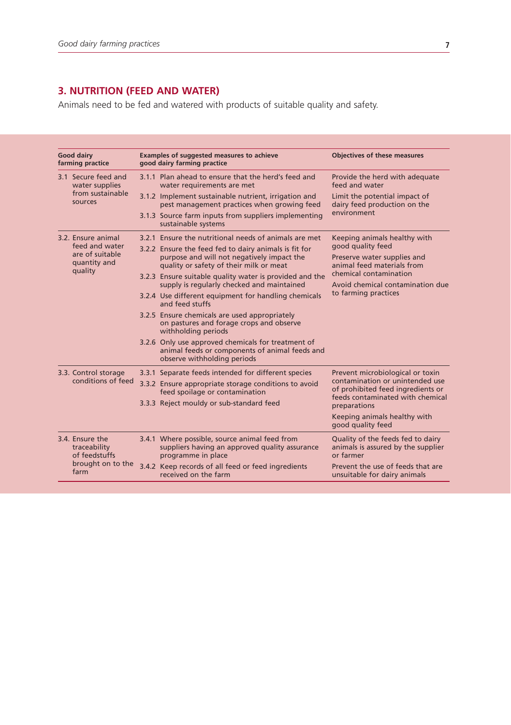# **3. NUTRITION (FEED AND WATER)**

Animals need to be fed and watered with products of suitable quality and safety.

|  | <b>Good dairy</b><br>farming practice                                         | Examples of suggested measures to achieve<br>good dairy farming practice                                                                       | <b>Objectives of these measures</b>                                                                      |
|--|-------------------------------------------------------------------------------|------------------------------------------------------------------------------------------------------------------------------------------------|----------------------------------------------------------------------------------------------------------|
|  | 3.1 Secure feed and<br>water supplies<br>from sustainable<br>SOUTCAS          | 3.1.1 Plan ahead to ensure that the herd's feed and<br>water requirements are met                                                              | Provide the herd with adequate<br>feed and water                                                         |
|  |                                                                               | 3.1.2 Implement sustainable nutrient, irrigation and<br>pest management practices when growing feed                                            | Limit the potential impact of<br>dairy feed production on the                                            |
|  |                                                                               | 3.1.3 Source farm inputs from suppliers implementing<br>sustainable systems                                                                    | environment                                                                                              |
|  | 3.2. Ensure animal                                                            | 3.2.1 Ensure the nutritional needs of animals are met                                                                                          | Keeping animals healthy with                                                                             |
|  | feed and water<br>are of suitable<br>quantity and<br>quality                  | 3.2.2 Ensure the feed fed to dairy animals is fit for<br>purpose and will not negatively impact the<br>quality or safety of their milk or meat | good quality feed<br>Preserve water supplies and<br>animal feed materials from                           |
|  |                                                                               | 3.2.3 Ensure suitable quality water is provided and the<br>supply is regularly checked and maintained                                          | chemical contamination<br>Avoid chemical contamination due                                               |
|  |                                                                               | 3.2.4 Use different equipment for handling chemicals<br>and feed stuffs                                                                        | to farming practices                                                                                     |
|  |                                                                               | 3.2.5 Ensure chemicals are used appropriately<br>on pastures and forage crops and observe<br>withholding periods                               |                                                                                                          |
|  |                                                                               | 3.2.6 Only use approved chemicals for treatment of<br>animal feeds or components of animal feeds and<br>observe withholding periods            |                                                                                                          |
|  | 3.3. Control storage<br>conditions of feed                                    | 3.3.1 Separate feeds intended for different species                                                                                            | Prevent microbiological or toxin                                                                         |
|  |                                                                               | 3.3.2 Ensure appropriate storage conditions to avoid<br>feed spoilage or contamination                                                         | contamination or unintended use<br>of prohibited feed ingredients or<br>feeds contaminated with chemical |
|  |                                                                               | 3.3.3 Reject mouldy or sub-standard feed                                                                                                       | preparations                                                                                             |
|  |                                                                               |                                                                                                                                                | Keeping animals healthy with<br>good quality feed                                                        |
|  | 3.4. Ensure the<br>traceability<br>of feedstuffs<br>brought on to the<br>farm | 3.4.1 Where possible, source animal feed from<br>suppliers having an approved quality assurance<br>programme in place                          | Quality of the feeds fed to dairy<br>animals is assured by the supplier<br>or farmer                     |
|  |                                                                               | 3.4.2 Keep records of all feed or feed ingredients<br>received on the farm                                                                     | Prevent the use of feeds that are<br>unsuitable for dairy animals                                        |
|  |                                                                               |                                                                                                                                                |                                                                                                          |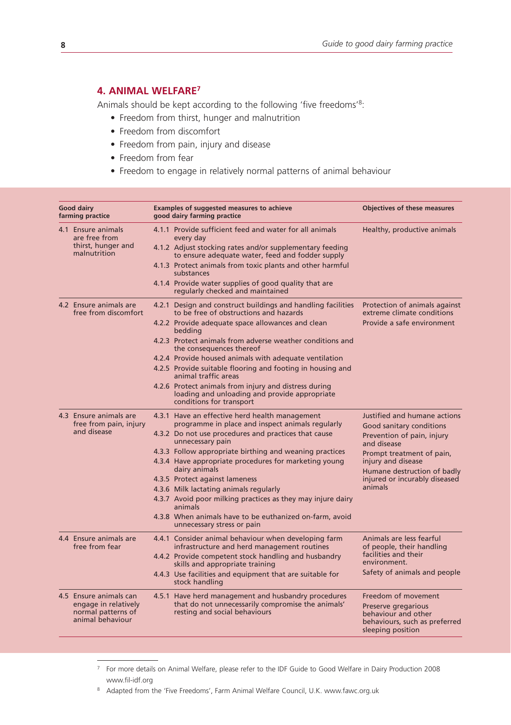# **4. ANIMAL WELFARE7**

Animals should be kept according to the following 'five freedoms'8:

- Freedom from thirst, hunger and malnutrition
- Freedom from discomfort
- Freedom from pain, injury and disease
- Freedom from fear
- Freedom to engage in relatively normal patterns of animal behaviour

| <b>Good dairy</b><br>farming practice                                                    | Examples of suggested measures to achieve<br>good dairy farming practice                                                                                                                                                                                                                                                                                                                                                                                                                                                                                           | <b>Objectives of these measures</b>                                                                                                                                                                                                 |
|------------------------------------------------------------------------------------------|--------------------------------------------------------------------------------------------------------------------------------------------------------------------------------------------------------------------------------------------------------------------------------------------------------------------------------------------------------------------------------------------------------------------------------------------------------------------------------------------------------------------------------------------------------------------|-------------------------------------------------------------------------------------------------------------------------------------------------------------------------------------------------------------------------------------|
| 4.1 Ensure animals<br>are free from<br>thirst, hunger and<br>malnutrition                | 4.1.1 Provide sufficient feed and water for all animals<br>every day<br>4.1.2 Adjust stocking rates and/or supplementary feeding<br>to ensure adequate water, feed and fodder supply<br>4.1.3 Protect animals from toxic plants and other harmful<br>substances<br>4.1.4 Provide water supplies of good quality that are<br>regularly checked and maintained                                                                                                                                                                                                       | Healthy, productive animals                                                                                                                                                                                                         |
| 4.2 Ensure animals are<br>free from discomfort                                           | 4.2.1 Design and construct buildings and handling facilities<br>to be free of obstructions and hazards<br>4.2.2 Provide adequate space allowances and clean<br>bedding<br>4.2.3 Protect animals from adverse weather conditions and<br>the consequences thereof<br>4.2.4 Provide housed animals with adequate ventilation<br>4.2.5 Provide suitable flooring and footing in housing and<br>animal traffic areas<br>4.2.6 Protect animals from injury and distress during<br>loading and unloading and provide appropriate<br>conditions for transport              | Protection of animals against<br>extreme climate conditions<br>Provide a safe environment                                                                                                                                           |
| 4.3 Ensure animals are<br>free from pain, injury<br>and disease                          | 4.3.1 Have an effective herd health management<br>programme in place and inspect animals regularly<br>4.3.2 Do not use procedures and practices that cause<br>unnecessary pain<br>4.3.3 Follow appropriate birthing and weaning practices<br>4.3.4 Have appropriate procedures for marketing young<br>dairy animals<br>4.3.5 Protect against lameness<br>4.3.6 Milk lactating animals regularly<br>4.3.7 Avoid poor milking practices as they may injure dairy<br>animals<br>4.3.8 When animals have to be euthanized on-farm, avoid<br>unnecessary stress or pain | Justified and humane actions<br>Good sanitary conditions<br>Prevention of pain, injury<br>and disease<br>Prompt treatment of pain,<br>injury and disease<br>Humane destruction of badly<br>injured or incurably diseased<br>animals |
| 4.4 Ensure animals are<br>free from fear                                                 | 4.4.1 Consider animal behaviour when developing farm<br>infrastructure and herd management routines<br>4.4.2 Provide competent stock handling and husbandry<br>skills and appropriate training<br>4.4.3 Use facilities and equipment that are suitable for<br>stock handling                                                                                                                                                                                                                                                                                       | Animals are less fearful<br>of people, their handling<br>facilities and their<br>environment.<br>Safety of animals and people                                                                                                       |
| 4.5 Ensure animals can<br>engage in relatively<br>normal patterns of<br>animal behaviour | 4.5.1 Have herd management and husbandry procedures<br>that do not unnecessarily compromise the animals'<br>resting and social behaviours                                                                                                                                                                                                                                                                                                                                                                                                                          | Freedom of movement<br>Preserve gregarious<br>behaviour and other<br>behaviours, such as preferred<br>sleeping position                                                                                                             |

<sup>7</sup> For more details on Animal Welfare, please refer to the IDF Guide to Good Welfare in Dairy Production 2008 www.fil-idf.org

<sup>8</sup> Adapted from the 'Five Freedoms', Farm Animal Welfare Council, U.K. www.fawc.org.uk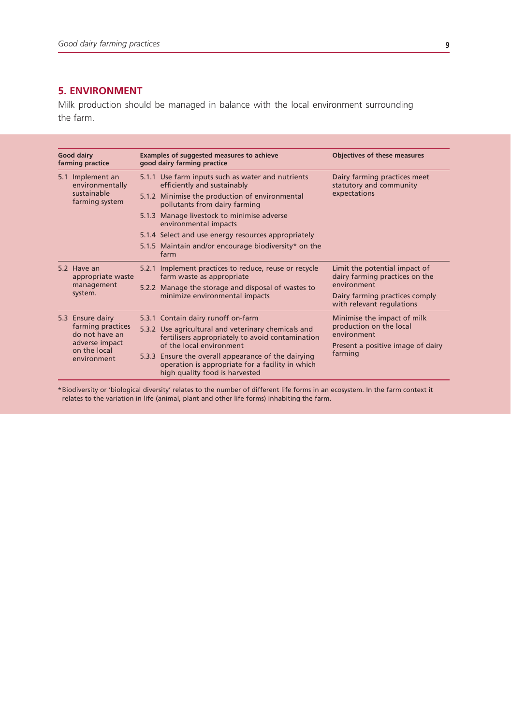# **5. ENVIRONMENT**

Milk production should be managed in balance with the local environment surrounding the farm.

| <b>Good dairy</b><br>farming practice |                                                                      | Examples of suggested measures to achieve<br>good dairy farming practice |                                                                                                                                           | <b>Objectives of these measures</b>                             |                             |
|---------------------------------------|----------------------------------------------------------------------|--------------------------------------------------------------------------|-------------------------------------------------------------------------------------------------------------------------------------------|-----------------------------------------------------------------|-----------------------------|
|                                       | 5.1 Implement an<br>environmentally<br>sustainable<br>farming system |                                                                          | 5.1.1 Use farm inputs such as water and nutrients<br>efficiently and sustainably                                                          | Dairy farming practices meet<br>statutory and community         |                             |
|                                       |                                                                      |                                                                          | 5.1.2 Minimise the production of environmental<br>pollutants from dairy farming                                                           | expectations                                                    |                             |
|                                       |                                                                      |                                                                          | 5.1.3 Manage livestock to minimise adverse<br>environmental impacts                                                                       |                                                                 |                             |
|                                       |                                                                      |                                                                          | 5.1.4 Select and use energy resources appropriately                                                                                       |                                                                 |                             |
|                                       |                                                                      |                                                                          | 5.1.5 Maintain and/or encourage biodiversity* on the<br>farm                                                                              |                                                                 |                             |
|                                       | 5.2 Have an<br>appropriate waste<br>management<br>system.            |                                                                          | 5.2.1 Implement practices to reduce, reuse or recycle<br>farm waste as appropriate                                                        | Limit the potential impact of<br>dairy farming practices on the |                             |
|                                       |                                                                      |                                                                          | 5.2.2 Manage the storage and disposal of wastes to<br>minimize environmental impacts                                                      | environment                                                     |                             |
|                                       |                                                                      |                                                                          |                                                                                                                                           | Dairy farming practices comply<br>with relevant regulations     |                             |
|                                       | farming practices<br>do not have an                                  | 5.3 Ensure dairy                                                         |                                                                                                                                           | 5.3.1 Contain dairy runoff on-farm                              | Minimise the impact of milk |
|                                       |                                                                      |                                                                          | 5.3.2 Use agricultural and veterinary chemicals and<br>fertilisers appropriately to avoid contamination                                   | production on the local<br>environment                          |                             |
|                                       | adverse impact<br>on the local                                       |                                                                          | of the local environment                                                                                                                  | Present a positive image of dairy                               |                             |
|                                       | environment                                                          |                                                                          | 5.3.3 Ensure the overall appearance of the dairying<br>operation is appropriate for a facility in which<br>high quality food is harvested | farming                                                         |                             |

\*Biodiversity or 'biological diversity' relates to the number of different life forms in an ecosystem. In the farm context it relates to the variation in life (animal, plant and other life forms) inhabiting the farm.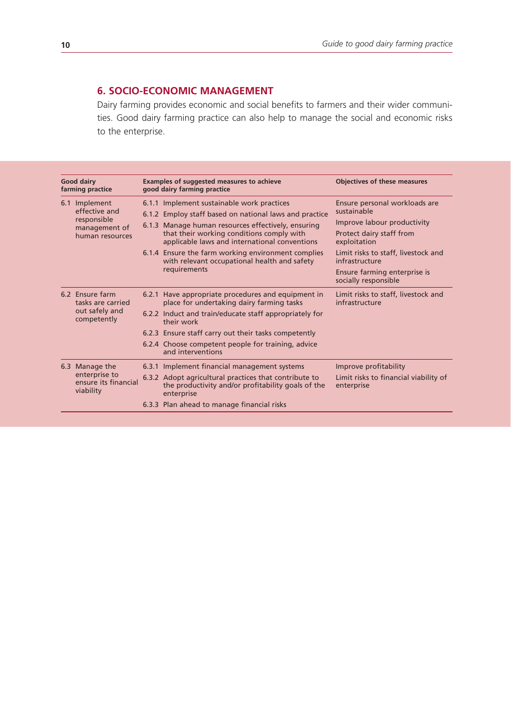# **6. SOCIO-ECONOMIC MANAGEMENT**

Dairy farming provides economic and social benefits to farmers and their wider communities. Good dairy farming practice can also help to manage the social and economic risks to the enterprise.

| <b>Good dairy</b><br>farming practice |                                                                                   | Examples of suggested measures to achieve<br>good dairy farming practice                                                                                                                                                                                                                                                                                                       | <b>Objectives of these measures</b>                                                                                                                                                                                                      |
|---------------------------------------|-----------------------------------------------------------------------------------|--------------------------------------------------------------------------------------------------------------------------------------------------------------------------------------------------------------------------------------------------------------------------------------------------------------------------------------------------------------------------------|------------------------------------------------------------------------------------------------------------------------------------------------------------------------------------------------------------------------------------------|
|                                       | 6.1 Implement<br>effective and<br>responsible<br>management of<br>human resources | 6.1.1 Implement sustainable work practices<br>6.1.2 Employ staff based on national laws and practice<br>6.1.3 Manage human resources effectively, ensuring<br>that their working conditions comply with<br>applicable laws and international conventions<br>6.1.4 Ensure the farm working environment complies<br>with relevant occupational health and safety<br>requirements | Ensure personal workloads are<br>sustainable<br>Improve labour productivity<br>Protect dairy staff from<br>exploitation<br>Limit risks to staff, livestock and<br>infrastructure<br>Ensure farming enterprise is<br>socially responsible |
|                                       | 6.2 Ensure farm<br>tasks are carried<br>out safely and<br>competently             | 6.2.1 Have appropriate procedures and equipment in<br>place for undertaking dairy farming tasks<br>6.2.2 Induct and train/educate staff appropriately for<br>their work<br>6.2.3 Ensure staff carry out their tasks competently<br>6.2.4 Choose competent people for training, advice<br>and interventions                                                                     | Limit risks to staff, livestock and<br>infrastructure                                                                                                                                                                                    |
|                                       | 6.3 Manage the<br>enterprise to<br>ensure its financial<br>viability              | 6.3.1 Implement financial management systems<br>6.3.2 Adopt agricultural practices that contribute to<br>the productivity and/or profitability goals of the<br>enterprise<br>6.3.3 Plan ahead to manage financial risks                                                                                                                                                        | Improve profitability<br>Limit risks to financial viability of<br>enterprise                                                                                                                                                             |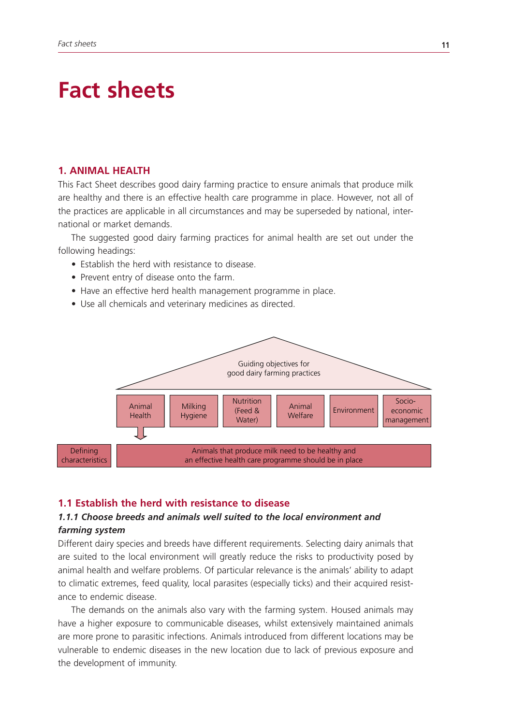# **Fact sheets**

# **1. ANIMAL HEALTH**

This Fact Sheet describes good dairy farming practice to ensure animals that produce milk are healthy and there is an effective health care programme in place. However, not all of the practices are applicable in all circumstances and may be superseded by national, international or market demands.

The suggested good dairy farming practices for animal health are set out under the following headings:

- Establish the herd with resistance to disease.
- Prevent entry of disease onto the farm.
- Have an effective herd health management programme in place.
- Use all chemicals and veterinary medicines as directed.



#### **1.1 Establish the herd with resistance to disease**

# *1.1.1 Choose breeds and animals well suited to the local environment and farming system*

Different dairy species and breeds have different requirements. Selecting dairy animals that are suited to the local environment will greatly reduce the risks to productivity posed by animal health and welfare problems. Of particular relevance is the animals' ability to adapt to climatic extremes, feed quality, local parasites (especially ticks) and their acquired resistance to endemic disease.

The demands on the animals also vary with the farming system. Housed animals may have a higher exposure to communicable diseases, whilst extensively maintained animals are more prone to parasitic infections. Animals introduced from different locations may be vulnerable to endemic diseases in the new location due to lack of previous exposure and the development of immunity.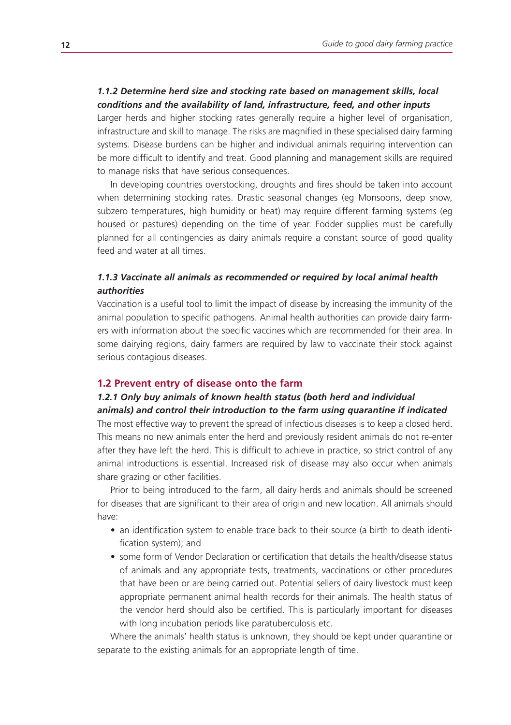# *1.1.2 Determine herd size and stocking rate based on management skills, local conditions and the availability of land, infrastructure, feed, and other inputs*

Larger herds and higher stocking rates generally require a higher level of organisation, infrastructure and skill to manage. The risks are magnified in these specialised dairy farming systems. Disease burdens can be higher and individual animals requiring intervention can be more difficult to identify and treat. Good planning and management skills are required to manage risks that have serious consequences.

In developing countries overstocking, droughts and fires should be taken into account when determining stocking rates. Drastic seasonal changes (eg Monsoons, deep snow, subzero temperatures, high humidity or heat) may require different farming systems (eg housed or pastures) depending on the time of year. Fodder supplies must be carefully planned for all contingencies as dairy animals require a constant source of good quality feed and water at all times.

# *1.1.3 Vaccinate all animals as recommended or required by local animal health authorities*

Vaccination is a useful tool to limit the impact of disease by increasing the immunity of the animal population to specific pathogens. Animal health authorities can provide dairy farmers with information about the specific vaccines which are recommended for their area. In some dairying regions, dairy farmers are required by law to vaccinate their stock against serious contagious diseases.

#### **1.2 Prevent entry of disease onto the farm**

# *1.2.1 Only buy animals of known health status (both herd and individual animals) and control their introduction to the farm using quarantine if indicated*

The most effective way to prevent the spread of infectious diseases is to keep a closed herd. This means no new animals enter the herd and previously resident animals do not re-enter after they have left the herd. This is difficult to achieve in practice, so strict control of any animal introductions is essential. Increased risk of disease may also occur when animals share grazing or other facilities.

Prior to being introduced to the farm, all dairy herds and animals should be screened for diseases that are significant to their area of origin and new location. All animals should have:

- an identification system to enable trace back to their source (a birth to death identification system); and
- some form of Vendor Declaration or certification that details the health/disease status of animals and any appropriate tests, treatments, vaccinations or other procedures that have been or are being carried out. Potential sellers of dairy livestock must keep appropriate permanent animal health records for their animals. The health status of the vendor herd should also be certified. This is particularly important for diseases with long incubation periods like paratuberculosis etc.

Where the animals' health status is unknown, they should be kept under quarantine or separate to the existing animals for an appropriate length of time.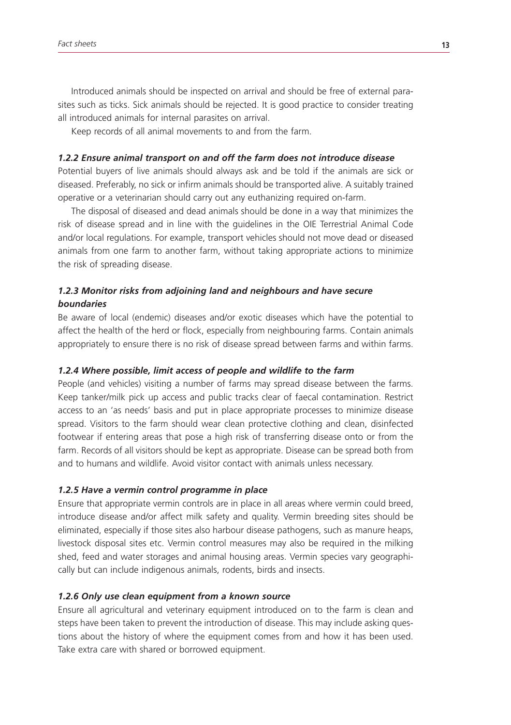Introduced animals should be inspected on arrival and should be free of external parasites such as ticks. Sick animals should be rejected. It is good practice to consider treating all introduced animals for internal parasites on arrival.

Keep records of all animal movements to and from the farm.

# *1.2.2 Ensure animal transport on and off the farm does not introduce disease*

Potential buyers of live animals should always ask and be told if the animals are sick or diseased. Preferably, no sick or infirm animals should be transported alive. A suitably trained operative or a veterinarian should carry out any euthanizing required on-farm.

The disposal of diseased and dead animals should be done in a way that minimizes the risk of disease spread and in line with the guidelines in the OIE Terrestrial Animal Code and/or local regulations. For example, transport vehicles should not move dead or diseased animals from one farm to another farm, without taking appropriate actions to minimize the risk of spreading disease.

# *1.2.3 Monitor risks from adjoining land and neighbours and have secure boundaries*

Be aware of local (endemic) diseases and/or exotic diseases which have the potential to affect the health of the herd or flock, especially from neighbouring farms. Contain animals appropriately to ensure there is no risk of disease spread between farms and within farms.

# *1.2.4 Where possible, limit access of people and wildlife to the farm*

People (and vehicles) visiting a number of farms may spread disease between the farms. Keep tanker/milk pick up access and public tracks clear of faecal contamination. Restrict access to an 'as needs' basis and put in place appropriate processes to minimize disease spread. Visitors to the farm should wear clean protective clothing and clean, disinfected footwear if entering areas that pose a high risk of transferring disease onto or from the farm. Records of all visitors should be kept as appropriate. Disease can be spread both from and to humans and wildlife. Avoid visitor contact with animals unless necessary.

# *1.2.5 Have a vermin control programme in place*

Ensure that appropriate vermin controls are in place in all areas where vermin could breed, introduce disease and/or affect milk safety and quality. Vermin breeding sites should be eliminated, especially if those sites also harbour disease pathogens, such as manure heaps, livestock disposal sites etc. Vermin control measures may also be required in the milking shed, feed and water storages and animal housing areas. Vermin species vary geographically but can include indigenous animals, rodents, birds and insects.

# *1.2.6 Only use clean equipment from a known source*

Ensure all agricultural and veterinary equipment introduced on to the farm is clean and steps have been taken to prevent the introduction of disease. This may include asking questions about the history of where the equipment comes from and how it has been used. Take extra care with shared or borrowed equipment.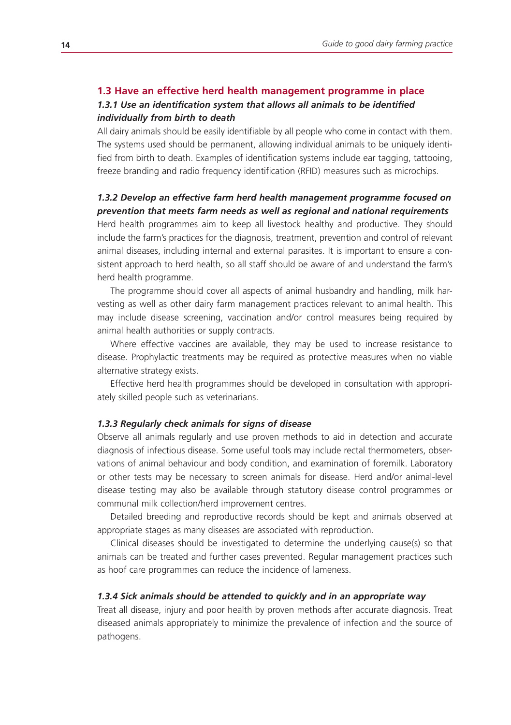#### **1.3 Have an effective herd health management programme in place**

# *1.3.1 Use an identification system that allows all animals to be identified individually from birth to death*

All dairy animals should be easily identifiable by all people who come in contact with them. The systems used should be permanent, allowing individual animals to be uniquely identified from birth to death. Examples of identification systems include ear tagging, tattooing, freeze branding and radio frequency identification (RFID) measures such as microchips.

# *1.3.2 Develop an effective farm herd health management programme focused on prevention that meets farm needs as well as regional and national requirements*

Herd health programmes aim to keep all livestock healthy and productive. They should include the farm's practices for the diagnosis, treatment, prevention and control of relevant animal diseases, including internal and external parasites. It is important to ensure a consistent approach to herd health, so all staff should be aware of and understand the farm's herd health programme.

The programme should cover all aspects of animal husbandry and handling, milk harvesting as well as other dairy farm management practices relevant to animal health. This may include disease screening, vaccination and/or control measures being required by animal health authorities or supply contracts.

Where effective vaccines are available, they may be used to increase resistance to disease. Prophylactic treatments may be required as protective measures when no viable alternative strategy exists.

Effective herd health programmes should be developed in consultation with appropriately skilled people such as veterinarians.

#### *1.3.3 Regularly check animals for signs of disease*

Observe all animals regularly and use proven methods to aid in detection and accurate diagnosis of infectious disease. Some useful tools may include rectal thermometers, observations of animal behaviour and body condition, and examination of foremilk. Laboratory or other tests may be necessary to screen animals for disease. Herd and/or animal-level disease testing may also be available through statutory disease control programmes or communal milk collection/herd improvement centres.

Detailed breeding and reproductive records should be kept and animals observed at appropriate stages as many diseases are associated with reproduction.

Clinical diseases should be investigated to determine the underlying cause(s) so that animals can be treated and further cases prevented. Regular management practices such as hoof care programmes can reduce the incidence of lameness.

#### *1.3.4 Sick animals should be attended to quickly and in an appropriate way*

Treat all disease, injury and poor health by proven methods after accurate diagnosis. Treat diseased animals appropriately to minimize the prevalence of infection and the source of pathogens.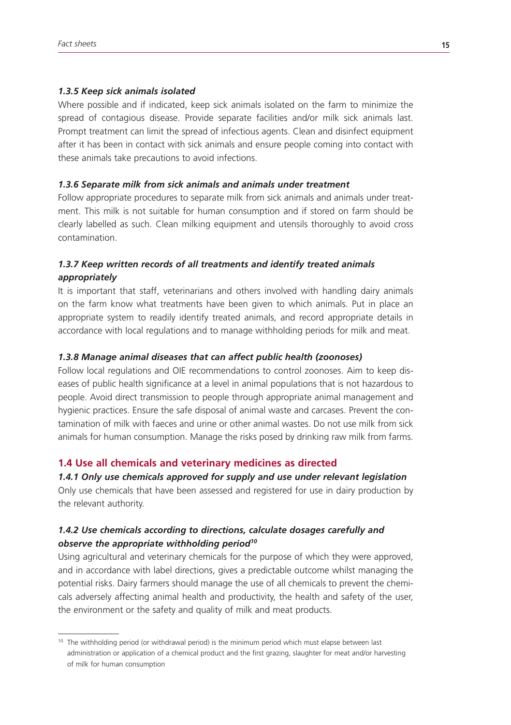#### *1.3.5 Keep sick animals isolated*

Where possible and if indicated, keep sick animals isolated on the farm to minimize the spread of contagious disease. Provide separate facilities and/or milk sick animals last. Prompt treatment can limit the spread of infectious agents. Clean and disinfect equipment after it has been in contact with sick animals and ensure people coming into contact with these animals take precautions to avoid infections.

#### *1.3.6 Separate milk from sick animals and animals under treatment*

Follow appropriate procedures to separate milk from sick animals and animals under treatment. This milk is not suitable for human consumption and if stored on farm should be clearly labelled as such. Clean milking equipment and utensils thoroughly to avoid cross contamination.

# *1.3.7 Keep written records of all treatments and identify treated animals appropriately*

It is important that staff, veterinarians and others involved with handling dairy animals on the farm know what treatments have been given to which animals. Put in place an appropriate system to readily identify treated animals, and record appropriate details in accordance with local regulations and to manage withholding periods for milk and meat.

#### *1.3.8 Manage animal diseases that can affect public health (zoonoses)*

Follow local regulations and OIE recommendations to control zoonoses. Aim to keep diseases of public health significance at a level in animal populations that is not hazardous to people. Avoid direct transmission to people through appropriate animal management and hygienic practices. Ensure the safe disposal of animal waste and carcases. Prevent the contamination of milk with faeces and urine or other animal wastes. Do not use milk from sick animals for human consumption. Manage the risks posed by drinking raw milk from farms.

#### **1.4 Use all chemicals and veterinary medicines as directed**

# *1.4.1 Only use chemicals approved for supply and use under relevant legislation*

Only use chemicals that have been assessed and registered for use in dairy production by the relevant authority.

# *1.4.2 Use chemicals according to directions, calculate dosages carefully and observe the appropriate withholding period10*

Using agricultural and veterinary chemicals for the purpose of which they were approved, and in accordance with label directions, gives a predictable outcome whilst managing the potential risks. Dairy farmers should manage the use of all chemicals to prevent the chemicals adversely affecting animal health and productivity, the health and safety of the user, the environment or the safety and quality of milk and meat products.

<sup>&</sup>lt;sup>10</sup> The withholding period (or withdrawal period) is the minimum period which must elapse between last administration or application of a chemical product and the first grazing, slaughter for meat and/or harvesting of milk for human consumption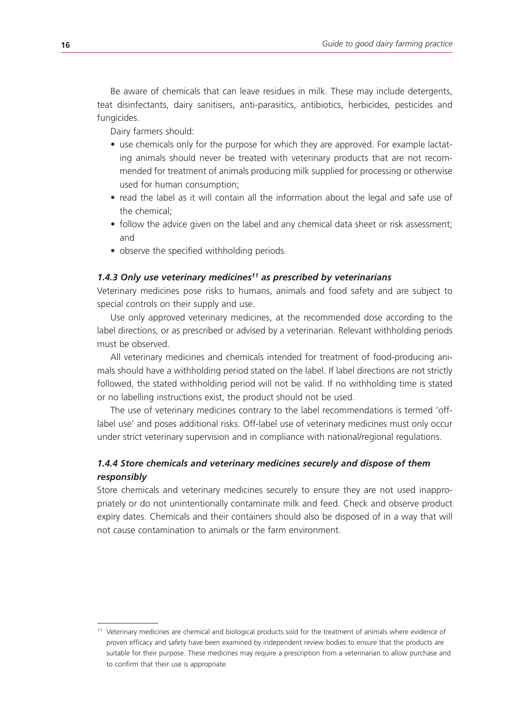Be aware of chemicals that can leave residues in milk. These may include detergents, teat disinfectants, dairy sanitisers, anti-parasitics, antibiotics, herbicides, pesticides and fungicides.

Dairy farmers should:

- use chemicals only for the purpose for which they are approved. For example lactating animals should never be treated with veterinary products that are not recommended for treatment of animals producing milk supplied for processing or otherwise used for human consumption;
- read the label as it will contain all the information about the legal and safe use of the chemical;
- follow the advice given on the label and any chemical data sheet or risk assessment; and
- observe the specified withholding periods.

# *1.4.3 Only use veterinary medicines11 as prescribed by veterinarians*

Veterinary medicines pose risks to humans, animals and food safety and are subject to special controls on their supply and use.

Use only approved veterinary medicines, at the recommended dose according to the label directions, or as prescribed or advised by a veterinarian. Relevant withholding periods must be observed.

All veterinary medicines and chemicals intended for treatment of food-producing animals should have a withholding period stated on the label. If label directions are not strictly followed, the stated withholding period will not be valid. If no withholding time is stated or no labelling instructions exist, the product should not be used.

The use of veterinary medicines contrary to the label recommendations is termed 'offlabel use' and poses additional risks. Off-label use of veterinary medicines must only occur under strict veterinary supervision and in compliance with national/regional regulations.

# *1.4.4 Store chemicals and veterinary medicines securely and dispose of them responsibly*

Store chemicals and veterinary medicines securely to ensure they are not used inappropriately or do not unintentionally contaminate milk and feed. Check and observe product expiry dates. Chemicals and their containers should also be disposed of in a way that will not cause contamination to animals or the farm environment.

<sup>11</sup> Veterinary medicines are chemical and biological products sold for the treatment of animals where evidence of proven efficacy and safety have been examined by independent review bodies to ensure that the products are suitable for their purpose. These medicines may require a prescription from a veterinarian to allow purchase and to confirm that their use is appropriate.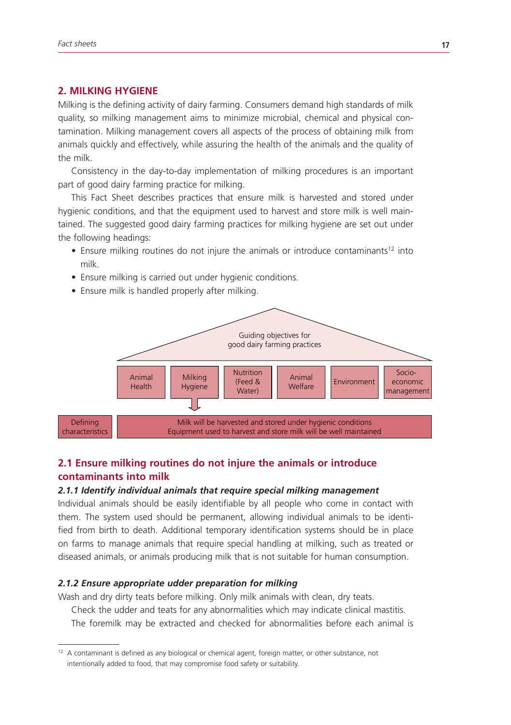# **2. MILKING HYGIENE**

Milking is the defining activity of dairy farming. Consumers demand high standards of milk quality, so milking management aims to minimize microbial, chemical and physical contamination. Milking management covers all aspects of the process of obtaining milk from animals quickly and effectively, while assuring the health of the animals and the quality of the milk.

Consistency in the day-to-day implementation of milking procedures is an important part of good dairy farming practice for milking.

This Fact Sheet describes practices that ensure milk is harvested and stored under hygienic conditions, and that the equipment used to harvest and store milk is well maintained. The suggested good dairy farming practices for milking hygiene are set out under the following headings:

- Ensure milking routines do not injure the animals or introduce contaminants<sup>12</sup> into milk.
- Ensure milking is carried out under hygienic conditions.
- Ensure milk is handled properly after milking.



# **2.1 Ensure milking routines do not injure the animals or introduce contaminants into milk**

#### *2.1.1 Identify individual animals that require special milking management*

Individual animals should be easily identifiable by all people who come in contact with them. The system used should be permanent, allowing individual animals to be identified from birth to death. Additional temporary identification systems should be in place on farms to manage animals that require special handling at milking, such as treated or diseased animals, or animals producing milk that is not suitable for human consumption.

#### *2.1.2 Ensure appropriate udder preparation for milking*

Wash and dry dirty teats before milking. Only milk animals with clean, dry teats.

Check the udder and teats for any abnormalities which may indicate clinical mastitis.

The foremilk may be extracted and checked for abnormalities before each animal is

<sup>&</sup>lt;sup>12</sup> A contaminant is defined as any biological or chemical agent, foreign matter, or other substance, not intentionally added to food, that may compromise food safety or suitability.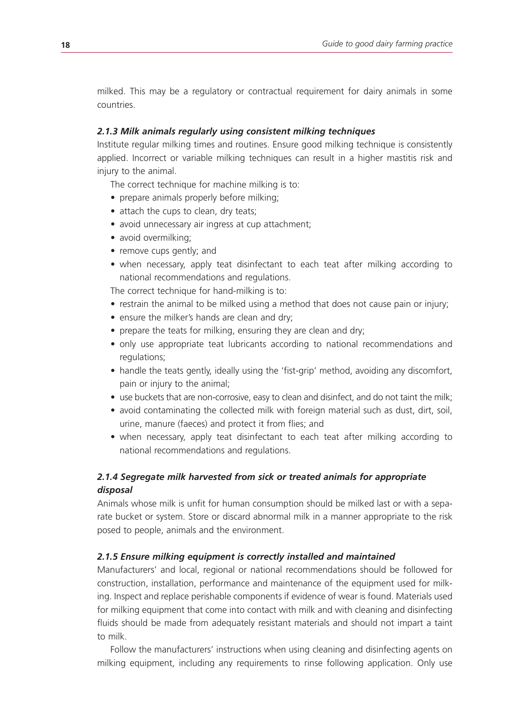milked. This may be a regulatory or contractual requirement for dairy animals in some countries.

#### *2.1.3 Milk animals regularly using consistent milking techniques*

Institute regular milking times and routines. Ensure good milking technique is consistently applied. Incorrect or variable milking techniques can result in a higher mastitis risk and injury to the animal.

The correct technique for machine milking is to:

- prepare animals properly before milking;
- attach the cups to clean, dry teats;
- avoid unnecessary air ingress at cup attachment;
- avoid overmilking;
- remove cups gently; and
- when necessary, apply teat disinfectant to each teat after milking according to national recommendations and regulations.

The correct technique for hand-milking is to:

- restrain the animal to be milked using a method that does not cause pain or injury;
- ensure the milker's hands are clean and dry;
- prepare the teats for milking, ensuring they are clean and dry;
- only use appropriate teat lubricants according to national recommendations and regulations;
- handle the teats gently, ideally using the 'fist-grip' method, avoiding any discomfort, pain or injury to the animal;
- use buckets that are non-corrosive, easy to clean and disinfect, and do not taint the milk;
- avoid contaminating the collected milk with foreign material such as dust, dirt, soil, urine, manure (faeces) and protect it from flies; and
- when necessary, apply teat disinfectant to each teat after milking according to national recommendations and regulations.

# *2.1.4 Segregate milk harvested from sick or treated animals for appropriate disposal*

Animals whose milk is unfit for human consumption should be milked last or with a separate bucket or system. Store or discard abnormal milk in a manner appropriate to the risk posed to people, animals and the environment.

#### *2.1.5 Ensure milking equipment is correctly installed and maintained*

Manufacturers' and local, regional or national recommendations should be followed for construction, installation, performance and maintenance of the equipment used for milking. Inspect and replace perishable components if evidence of wear is found. Materials used for milking equipment that come into contact with milk and with cleaning and disinfecting fluids should be made from adequately resistant materials and should not impart a taint to milk.

Follow the manufacturers' instructions when using cleaning and disinfecting agents on milking equipment, including any requirements to rinse following application. Only use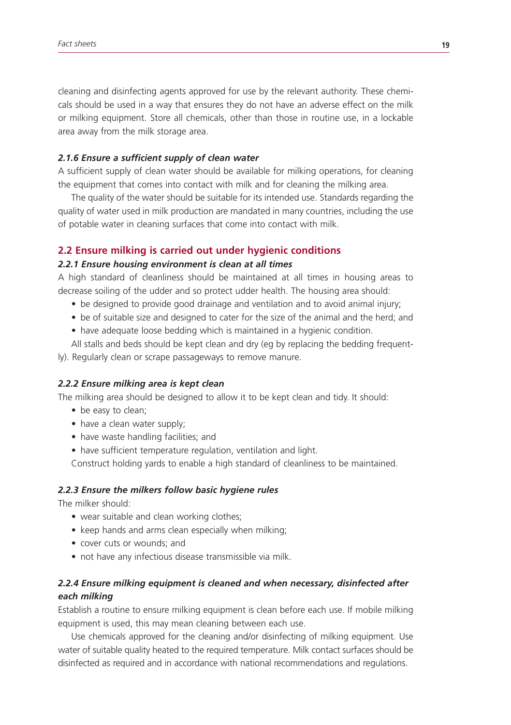cleaning and disinfecting agents approved for use by the relevant authority. These chemicals should be used in a way that ensures they do not have an adverse effect on the milk or milking equipment. Store all chemicals, other than those in routine use, in a lockable area away from the milk storage area.

#### *2.1.6 Ensure a sufficient supply of clean water*

A sufficient supply of clean water should be available for milking operations, for cleaning the equipment that comes into contact with milk and for cleaning the milking area.

The quality of the water should be suitable for its intended use. Standards regarding the quality of water used in milk production are mandated in many countries, including the use of potable water in cleaning surfaces that come into contact with milk.

#### **2.2 Ensure milking is carried out under hygienic conditions**

#### *2.2.1 Ensure housing environment is clean at all times*

A high standard of cleanliness should be maintained at all times in housing areas to decrease soiling of the udder and so protect udder health. The housing area should:

- be designed to provide good drainage and ventilation and to avoid animal injury;
- be of suitable size and designed to cater for the size of the animal and the herd; and
- have adequate loose bedding which is maintained in a hygienic condition.

All stalls and beds should be kept clean and dry (eg by replacing the bedding frequent-

ly). Regularly clean or scrape passageways to remove manure.

#### *2.2.2 Ensure milking area is kept clean*

The milking area should be designed to allow it to be kept clean and tidy. It should:

- be easy to clean;
- have a clean water supply;
- have waste handling facilities; and
- have sufficient temperature regulation, ventilation and light.

Construct holding yards to enable a high standard of cleanliness to be maintained.

#### *2.2.3 Ensure the milkers follow basic hygiene rules*

The milker should:

- wear suitable and clean working clothes;
- keep hands and arms clean especially when milking;
- cover cuts or wounds; and
- not have any infectious disease transmissible via milk.

# *2.2.4 Ensure milking equipment is cleaned and when necessary, disinfected after each milking*

Establish a routine to ensure milking equipment is clean before each use. If mobile milking equipment is used, this may mean cleaning between each use.

Use chemicals approved for the cleaning and/or disinfecting of milking equipment. Use water of suitable quality heated to the required temperature. Milk contact surfaces should be disinfected as required and in accordance with national recommendations and regulations.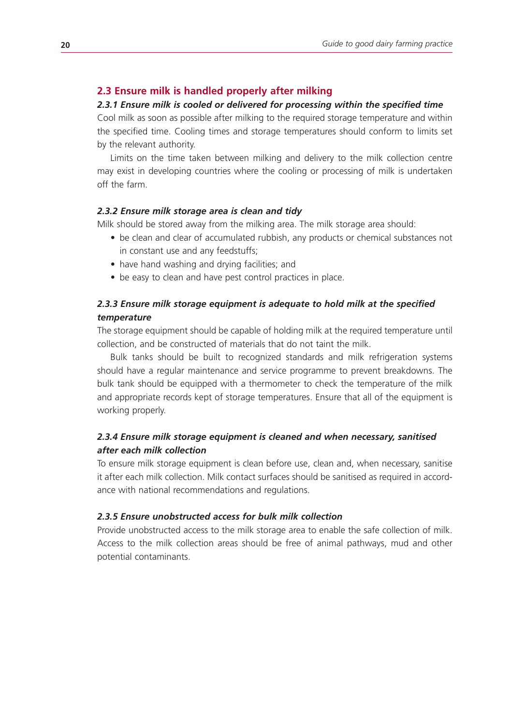#### **2.3 Ensure milk is handled properly after milking**

#### *2.3.1 Ensure milk is cooled or delivered for processing within the specified time*

Cool milk as soon as possible after milking to the required storage temperature and within the specified time. Cooling times and storage temperatures should conform to limits set by the relevant authority.

Limits on the time taken between milking and delivery to the milk collection centre may exist in developing countries where the cooling or processing of milk is undertaken off the farm.

#### *2.3.2 Ensure milk storage area is clean and tidy*

Milk should be stored away from the milking area. The milk storage area should:

- be clean and clear of accumulated rubbish, any products or chemical substances not in constant use and any feedstuffs;
- have hand washing and drying facilities; and
- be easy to clean and have pest control practices in place.

# *2.3.3 Ensure milk storage equipment is adequate to hold milk at the specified temperature*

The storage equipment should be capable of holding milk at the required temperature until collection, and be constructed of materials that do not taint the milk.

Bulk tanks should be built to recognized standards and milk refrigeration systems should have a regular maintenance and service programme to prevent breakdowns. The bulk tank should be equipped with a thermometer to check the temperature of the milk and appropriate records kept of storage temperatures. Ensure that all of the equipment is working properly.

# *2.3.4 Ensure milk storage equipment is cleaned and when necessary, sanitised after each milk collection*

To ensure milk storage equipment is clean before use, clean and, when necessary, sanitise it after each milk collection. Milk contact surfaces should be sanitised as required in accordance with national recommendations and regulations.

#### *2.3.5 Ensure unobstructed access for bulk milk collection*

Provide unobstructed access to the milk storage area to enable the safe collection of milk. Access to the milk collection areas should be free of animal pathways, mud and other potential contaminants.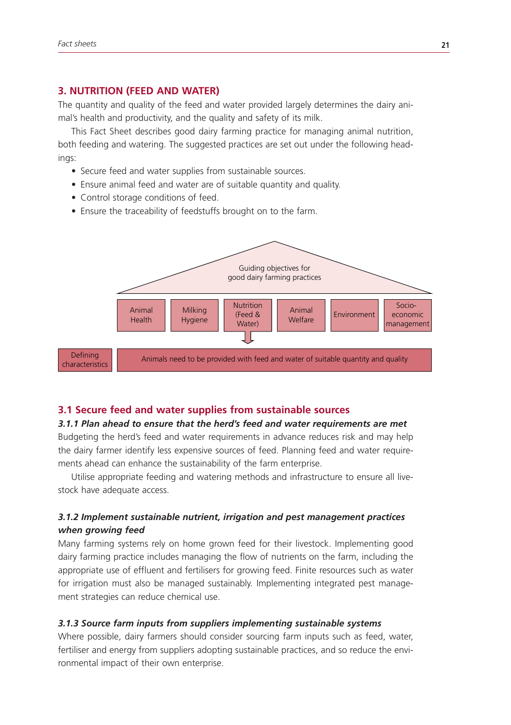#### **3. NUTRITION (FEED AND WATER)**

The quantity and quality of the feed and water provided largely determines the dairy animal's health and productivity, and the quality and safety of its milk.

This Fact Sheet describes good dairy farming practice for managing animal nutrition, both feeding and watering. The suggested practices are set out under the following headings:

- Secure feed and water supplies from sustainable sources.
- Ensure animal feed and water are of suitable quantity and quality.
- • Control storage conditions of feed.
- Ensure the traceability of feedstuffs brought on to the farm.



#### **3.1 Secure feed and water supplies from sustainable sources**

#### *3.1.1 Plan ahead to ensure that the herd's feed and water requirements are met*

Budgeting the herd's feed and water requirements in advance reduces risk and may help the dairy farmer identify less expensive sources of feed. Planning feed and water requirements ahead can enhance the sustainability of the farm enterprise.

Utilise appropriate feeding and watering methods and infrastructure to ensure all livestock have adequate access.

# *3.1.2 Implement sustainable nutrient, irrigation and pest management practices when growing feed*

Many farming systems rely on home grown feed for their livestock. Implementing good dairy farming practice includes managing the flow of nutrients on the farm, including the appropriate use of effluent and fertilisers for growing feed. Finite resources such as water for irrigation must also be managed sustainably. Implementing integrated pest management strategies can reduce chemical use.

#### *3.1.3 Source farm inputs from suppliers implementing sustainable systems*

Where possible, dairy farmers should consider sourcing farm inputs such as feed, water, fertiliser and energy from suppliers adopting sustainable practices, and so reduce the environmental impact of their own enterprise.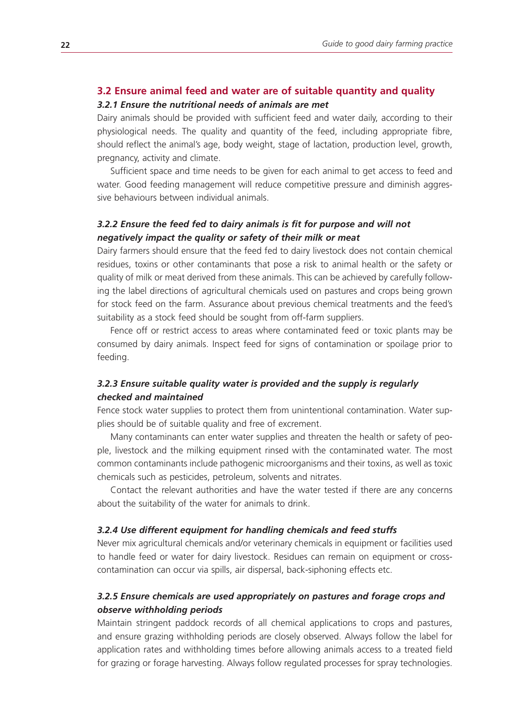# **3.2 Ensure animal feed and water are of suitable quantity and quality**

# *3.2.1 Ensure the nutritional needs of animals are met*

Dairy animals should be provided with sufficient feed and water daily, according to their physiological needs. The quality and quantity of the feed, including appropriate fibre, should reflect the animal's age, body weight, stage of lactation, production level, growth, pregnancy, activity and climate.

Sufficient space and time needs to be given for each animal to get access to feed and water. Good feeding management will reduce competitive pressure and diminish aggressive behaviours between individual animals.

# *3.2.2 Ensure the feed fed to dairy animals is fit for purpose and will not negatively impact the quality or safety of their milk or meat*

Dairy farmers should ensure that the feed fed to dairy livestock does not contain chemical residues, toxins or other contaminants that pose a risk to animal health or the safety or quality of milk or meat derived from these animals. This can be achieved by carefully following the label directions of agricultural chemicals used on pastures and crops being grown for stock feed on the farm. Assurance about previous chemical treatments and the feed's suitability as a stock feed should be sought from off-farm suppliers.

Fence off or restrict access to areas where contaminated feed or toxic plants may be consumed by dairy animals. Inspect feed for signs of contamination or spoilage prior to feeding.

# *3.2.3 Ensure suitable quality water is provided and the supply is regularly checked and maintained*

Fence stock water supplies to protect them from unintentional contamination. Water supplies should be of suitable quality and free of excrement.

Many contaminants can enter water supplies and threaten the health or safety of people, livestock and the milking equipment rinsed with the contaminated water. The most common contaminants include pathogenic microorganisms and their toxins, as well as toxic chemicals such as pesticides, petroleum, solvents and nitrates.

Contact the relevant authorities and have the water tested if there are any concerns about the suitability of the water for animals to drink.

#### *3.2.4 Use different equipment for handling chemicals and feed stuffs*

Never mix agricultural chemicals and/or veterinary chemicals in equipment or facilities used to handle feed or water for dairy livestock. Residues can remain on equipment or crosscontamination can occur via spills, air dispersal, back-siphoning effects etc.

# *3.2.5 Ensure chemicals are used appropriately on pastures and forage crops and observe withholding periods*

Maintain stringent paddock records of all chemical applications to crops and pastures, and ensure grazing withholding periods are closely observed. Always follow the label for application rates and withholding times before allowing animals access to a treated field for grazing or forage harvesting. Always follow regulated processes for spray technologies.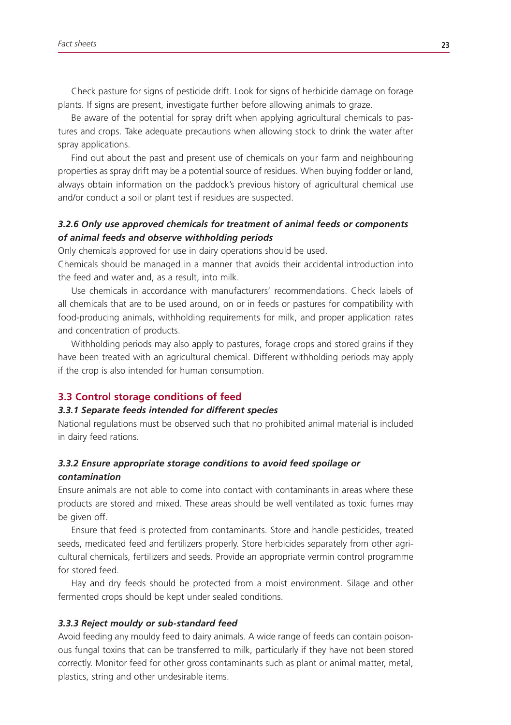Check pasture for signs of pesticide drift. Look for signs of herbicide damage on forage plants. If signs are present, investigate further before allowing animals to graze.

Be aware of the potential for spray drift when applying agricultural chemicals to pastures and crops. Take adequate precautions when allowing stock to drink the water after spray applications.

Find out about the past and present use of chemicals on your farm and neighbouring properties as spray drift may be a potential source of residues. When buying fodder or land, always obtain information on the paddock's previous history of agricultural chemical use and/or conduct a soil or plant test if residues are suspected.

# *3.2.6 Only use approved chemicals for treatment of animal feeds or components of animal feeds and observe withholding periods*

Only chemicals approved for use in dairy operations should be used.

Chemicals should be managed in a manner that avoids their accidental introduction into the feed and water and, as a result, into milk.

Use chemicals in accordance with manufacturers' recommendations. Check labels of all chemicals that are to be used around, on or in feeds or pastures for compatibility with food-producing animals, withholding requirements for milk, and proper application rates and concentration of products.

Withholding periods may also apply to pastures, forage crops and stored grains if they have been treated with an agricultural chemical. Different withholding periods may apply if the crop is also intended for human consumption.

#### **3.3 Control storage conditions of feed**

#### *3.3.1 Separate feeds intended for different species*

National regulations must be observed such that no prohibited animal material is included in dairy feed rations.

# *3.3.2 Ensure appropriate storage conditions to avoid feed spoilage or contamination*

Ensure animals are not able to come into contact with contaminants in areas where these products are stored and mixed. These areas should be well ventilated as toxic fumes may be given off.

Ensure that feed is protected from contaminants. Store and handle pesticides, treated seeds, medicated feed and fertilizers properly. Store herbicides separately from other agricultural chemicals, fertilizers and seeds. Provide an appropriate vermin control programme for stored feed.

Hay and dry feeds should be protected from a moist environment. Silage and other fermented crops should be kept under sealed conditions.

#### *3.3.3 Reject mouldy or sub-standard feed*

Avoid feeding any mouldy feed to dairy animals. A wide range of feeds can contain poisonous fungal toxins that can be transferred to milk, particularly if they have not been stored correctly. Monitor feed for other gross contaminants such as plant or animal matter, metal, plastics, string and other undesirable items.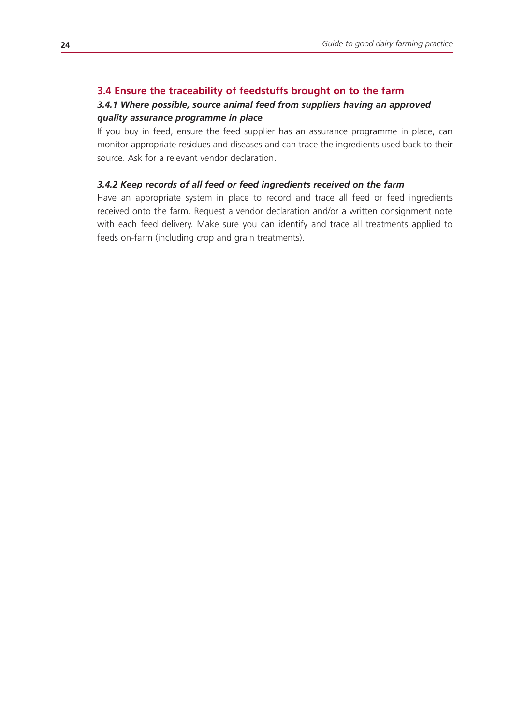# **3.4 Ensure the traceability of feedstuffs brought on to the farm**

# *3.4.1 Where possible, source animal feed from suppliers having an approved quality assurance programme in place*

If you buy in feed, ensure the feed supplier has an assurance programme in place, can monitor appropriate residues and diseases and can trace the ingredients used back to their source. Ask for a relevant vendor declaration.

#### *3.4.2 Keep records of all feed or feed ingredients received on the farm*

Have an appropriate system in place to record and trace all feed or feed ingredients received onto the farm. Request a vendor declaration and/or a written consignment note with each feed delivery. Make sure you can identify and trace all treatments applied to feeds on-farm (including crop and grain treatments).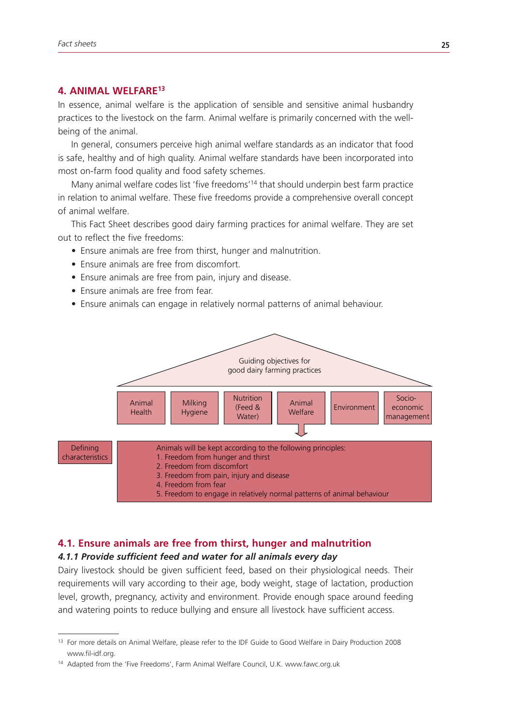# **4. ANIMAL WELFARE13**

In essence, animal welfare is the application of sensible and sensitive animal husbandry practices to the livestock on the farm. Animal welfare is primarily concerned with the wellbeing of the animal.

In general, consumers perceive high animal welfare standards as an indicator that food is safe, healthy and of high quality. Animal welfare standards have been incorporated into most on-farm food quality and food safety schemes.

Many animal welfare codes list 'five freedoms'<sup>14</sup> that should underpin best farm practice in relation to animal welfare. These five freedoms provide a comprehensive overall concept of animal welfare.

This Fact Sheet describes good dairy farming practices for animal welfare. They are set out to reflect the five freedoms:

- Ensure animals are free from thirst, hunger and malnutrition.
- Ensure animals are free from discomfort.
- Ensure animals are free from pain, injury and disease.
- Ensure animals are free from fear.
- Ensure animals can engage in relatively normal patterns of animal behaviour.



# **4.1. Ensure animals are free from thirst, hunger and malnutrition**

### *4.1.1 Provide sufficient feed and water for all animals every day*

Dairy livestock should be given sufficient feed, based on their physiological needs. Their requirements will vary according to their age, body weight, stage of lactation, production level, growth, pregnancy, activity and environment. Provide enough space around feeding and watering points to reduce bullying and ensure all livestock have sufficient access.

<sup>&</sup>lt;sup>13</sup> For more details on Animal Welfare, please refer to the IDF Guide to Good Welfare in Dairy Production 2008 www.fil-idf.org.

<sup>&</sup>lt;sup>14</sup> Adapted from the 'Five Freedoms', Farm Animal Welfare Council, U.K. www.fawc.org.uk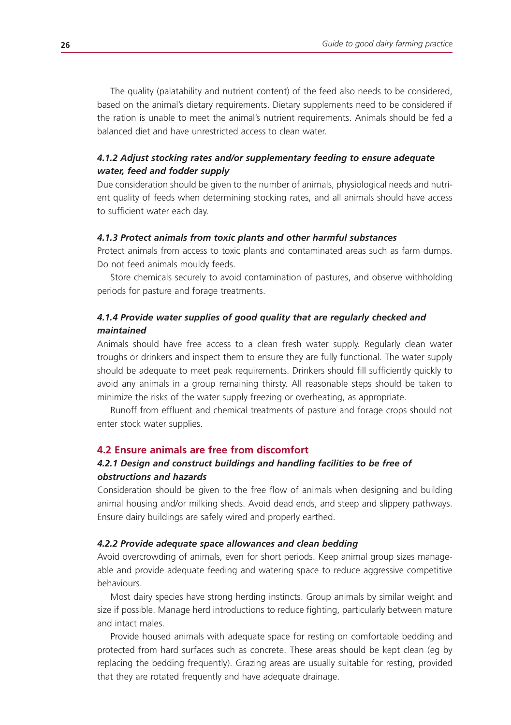The quality (palatability and nutrient content) of the feed also needs to be considered, based on the animal's dietary requirements. Dietary supplements need to be considered if the ration is unable to meet the animal's nutrient requirements. Animals should be fed a balanced diet and have unrestricted access to clean water.

# *4.1.2 Adjust stocking rates and/or supplementary feeding to ensure adequate water, feed and fodder supply*

Due consideration should be given to the number of animals, physiological needs and nutrient quality of feeds when determining stocking rates, and all animals should have access to sufficient water each day.

#### *4.1.3 Protect animals from toxic plants and other harmful substances*

Protect animals from access to toxic plants and contaminated areas such as farm dumps. Do not feed animals mouldy feeds.

Store chemicals securely to avoid contamination of pastures, and observe withholding periods for pasture and forage treatments.

# *4.1.4 Provide water supplies of good quality that are regularly checked and maintained*

Animals should have free access to a clean fresh water supply. Regularly clean water troughs or drinkers and inspect them to ensure they are fully functional. The water supply should be adequate to meet peak requirements. Drinkers should fill sufficiently quickly to avoid any animals in a group remaining thirsty. All reasonable steps should be taken to minimize the risks of the water supply freezing or overheating, as appropriate.

Runoff from effluent and chemical treatments of pasture and forage crops should not enter stock water supplies.

#### **4.2 Ensure animals are free from discomfort**

# *4.2.1 Design and construct buildings and handling facilities to be free of obstructions and hazards*

Consideration should be given to the free flow of animals when designing and building animal housing and/or milking sheds. Avoid dead ends, and steep and slippery pathways. Ensure dairy buildings are safely wired and properly earthed.

#### *4.2.2 Provide adequate space allowances and clean bedding*

Avoid overcrowding of animals, even for short periods. Keep animal group sizes manageable and provide adequate feeding and watering space to reduce aggressive competitive behaviours.

Most dairy species have strong herding instincts. Group animals by similar weight and size if possible. Manage herd introductions to reduce fighting, particularly between mature and intact males.

Provide housed animals with adequate space for resting on comfortable bedding and protected from hard surfaces such as concrete. These areas should be kept clean (eg by replacing the bedding frequently). Grazing areas are usually suitable for resting, provided that they are rotated frequently and have adequate drainage.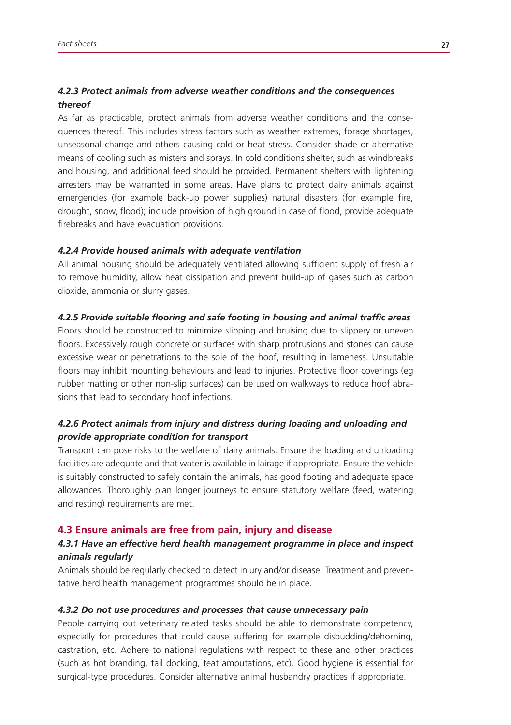# *4.2.3 Protect animals from adverse weather conditions and the consequences thereof*

As far as practicable, protect animals from adverse weather conditions and the consequences thereof. This includes stress factors such as weather extremes, forage shortages, unseasonal change and others causing cold or heat stress. Consider shade or alternative means of cooling such as misters and sprays. In cold conditions shelter, such as windbreaks and housing, and additional feed should be provided. Permanent shelters with lightening arresters may be warranted in some areas. Have plans to protect dairy animals against emergencies (for example back-up power supplies) natural disasters (for example fire, drought, snow, flood); include provision of high ground in case of flood, provide adequate firebreaks and have evacuation provisions.

#### *4.2.4 Provide housed animals with adequate ventilation*

All animal housing should be adequately ventilated allowing sufficient supply of fresh air to remove humidity, allow heat dissipation and prevent build-up of gases such as carbon dioxide, ammonia or slurry gases.

#### *4.2.5 Provide suitable flooring and safe footing in housing and animal traffic areas*

Floors should be constructed to minimize slipping and bruising due to slippery or uneven floors. Excessively rough concrete or surfaces with sharp protrusions and stones can cause excessive wear or penetrations to the sole of the hoof, resulting in lameness. Unsuitable floors may inhibit mounting behaviours and lead to injuries. Protective floor coverings (eg rubber matting or other non-slip surfaces) can be used on walkways to reduce hoof abrasions that lead to secondary hoof infections.

# *4.2.6 Protect animals from injury and distress during loading and unloading and provide appropriate condition for transport*

Transport can pose risks to the welfare of dairy animals. Ensure the loading and unloading facilities are adequate and that water is available in lairage if appropriate. Ensure the vehicle is suitably constructed to safely contain the animals, has good footing and adequate space allowances. Thoroughly plan longer journeys to ensure statutory welfare (feed, watering and resting) requirements are met.

#### **4.3 Ensure animals are free from pain, injury and disease**

# *4.3.1 Have an effective herd health management programme in place and inspect animals regularly*

Animals should be regularly checked to detect injury and/or disease. Treatment and preventative herd health management programmes should be in place.

#### *4.3.2 Do not use procedures and processes that cause unnecessary pain*

People carrying out veterinary related tasks should be able to demonstrate competency, especially for procedures that could cause suffering for example disbudding/dehorning, castration, etc. Adhere to national regulations with respect to these and other practices (such as hot branding, tail docking, teat amputations, etc). Good hygiene is essential for surgical-type procedures. Consider alternative animal husbandry practices if appropriate.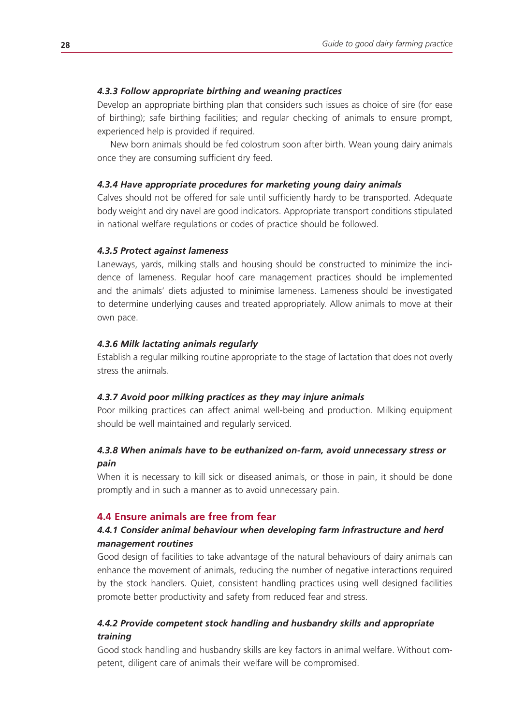#### *4.3.3 Follow appropriate birthing and weaning practices*

Develop an appropriate birthing plan that considers such issues as choice of sire (for ease of birthing); safe birthing facilities; and regular checking of animals to ensure prompt, experienced help is provided if required.

New born animals should be fed colostrum soon after birth. Wean young dairy animals once they are consuming sufficient dry feed.

#### *4.3.4 Have appropriate procedures for marketing young dairy animals*

Calves should not be offered for sale until sufficiently hardy to be transported. Adequate body weight and dry navel are good indicators. Appropriate transport conditions stipulated in national welfare regulations or codes of practice should be followed.

#### *4.3.5 Protect against lameness*

Laneways, yards, milking stalls and housing should be constructed to minimize the incidence of lameness. Regular hoof care management practices should be implemented and the animals' diets adjusted to minimise lameness. Lameness should be investigated to determine underlying causes and treated appropriately. Allow animals to move at their own pace.

#### *4.3.6 Milk lactating animals regularly*

Establish a regular milking routine appropriate to the stage of lactation that does not overly stress the animals.

#### *4.3.7 Avoid poor milking practices as they may injure animals*

Poor milking practices can affect animal well-being and production. Milking equipment should be well maintained and regularly serviced.

# *4.3.8 When animals have to be euthanized on-farm, avoid unnecessary stress or pain*

When it is necessary to kill sick or diseased animals, or those in pain, it should be done promptly and in such a manner as to avoid unnecessary pain.

#### **4.4 Ensure animals are free from fear**

# *4.4.1 Consider animal behaviour when developing farm infrastructure and herd management routines*

Good design of facilities to take advantage of the natural behaviours of dairy animals can enhance the movement of animals, reducing the number of negative interactions required by the stock handlers. Quiet, consistent handling practices using well designed facilities promote better productivity and safety from reduced fear and stress.

# *4.4.2 Provide competent stock handling and husbandry skills and appropriate training*

Good stock handling and husbandry skills are key factors in animal welfare. Without competent, diligent care of animals their welfare will be compromised.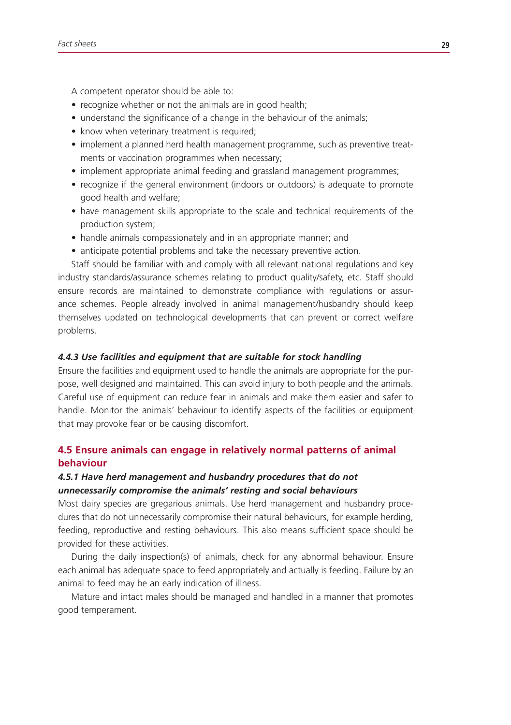A competent operator should be able to:

- recognize whether or not the animals are in good health;
- understand the significance of a change in the behaviour of the animals;
- know when veterinary treatment is required;
- implement a planned herd health management programme, such as preventive treatments or vaccination programmes when necessary;
- implement appropriate animal feeding and grassland management programmes;
- recognize if the general environment (indoors or outdoors) is adequate to promote good health and welfare;
- have management skills appropriate to the scale and technical requirements of the production system;
- handle animals compassionately and in an appropriate manner; and
- anticipate potential problems and take the necessary preventive action.

Staff should be familiar with and comply with all relevant national regulations and key industry standards/assurance schemes relating to product quality/safety, etc. Staff should ensure records are maintained to demonstrate compliance with regulations or assurance schemes. People already involved in animal management/husbandry should keep themselves updated on technological developments that can prevent or correct welfare problems.

#### *4.4.3 Use facilities and equipment that are suitable for stock handling*

Ensure the facilities and equipment used to handle the animals are appropriate for the purpose, well designed and maintained. This can avoid injury to both people and the animals. Careful use of equipment can reduce fear in animals and make them easier and safer to handle. Monitor the animals' behaviour to identify aspects of the facilities or equipment that may provoke fear or be causing discomfort.

# **4.5 Ensure animals can engage in relatively normal patterns of animal behaviour**

# *4.5.1 Have herd management and husbandry procedures that do not unnecessarily compromise the animals' resting and social behaviours*

Most dairy species are gregarious animals. Use herd management and husbandry procedures that do not unnecessarily compromise their natural behaviours, for example herding, feeding, reproductive and resting behaviours. This also means sufficient space should be provided for these activities.

During the daily inspection(s) of animals, check for any abnormal behaviour. Ensure each animal has adequate space to feed appropriately and actually is feeding. Failure by an animal to feed may be an early indication of illness.

Mature and intact males should be managed and handled in a manner that promotes good temperament.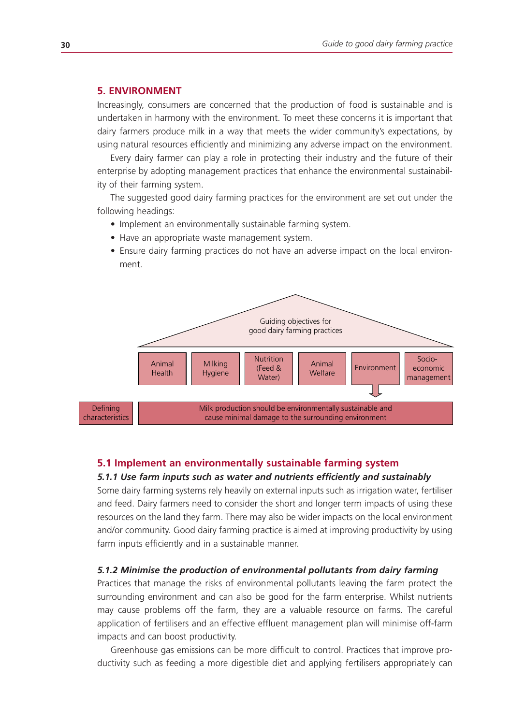# **5. ENVIRONMENT**

Increasingly, consumers are concerned that the production of food is sustainable and is undertaken in harmony with the environment. To meet these concerns it is important that dairy farmers produce milk in a way that meets the wider community's expectations, by using natural resources efficiently and minimizing any adverse impact on the environment.

Every dairy farmer can play a role in protecting their industry and the future of their enterprise by adopting management practices that enhance the environmental sustainability of their farming system.

The suggested good dairy farming practices for the environment are set out under the following headings:

- Implement an environmentally sustainable farming system.
- Have an appropriate waste management system.
- Ensure dairy farming practices do not have an adverse impact on the local environment.



#### **5.1 Implement an environmentally sustainable farming system**

#### *5.1.1 Use farm inputs such as water and nutrients efficiently and sustainably*

Some dairy farming systems rely heavily on external inputs such as irrigation water, fertiliser and feed. Dairy farmers need to consider the short and longer term impacts of using these resources on the land they farm. There may also be wider impacts on the local environment and/or community. Good dairy farming practice is aimed at improving productivity by using farm inputs efficiently and in a sustainable manner.

#### *5.1.2 Minimise the production of environmental pollutants from dairy farming*

Practices that manage the risks of environmental pollutants leaving the farm protect the surrounding environment and can also be good for the farm enterprise. Whilst nutrients may cause problems off the farm, they are a valuable resource on farms. The careful application of fertilisers and an effective effluent management plan will minimise off-farm impacts and can boost productivity.

Greenhouse gas emissions can be more difficult to control. Practices that improve productivity such as feeding a more digestible diet and applying fertilisers appropriately can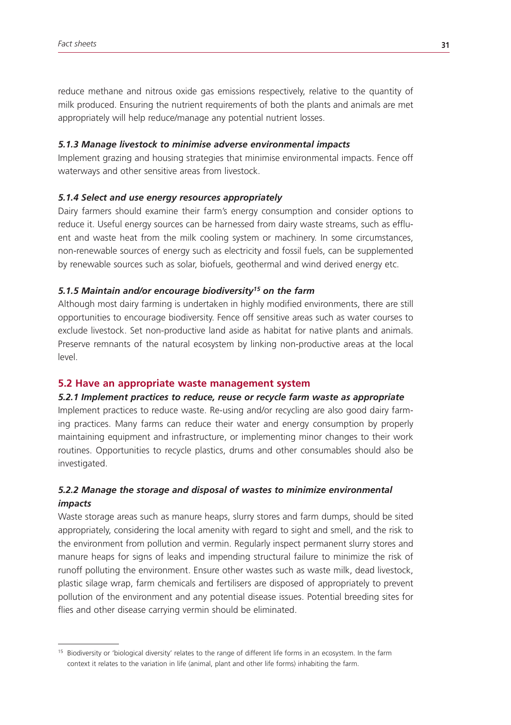reduce methane and nitrous oxide gas emissions respectively, relative to the quantity of milk produced. Ensuring the nutrient requirements of both the plants and animals are met appropriately will help reduce/manage any potential nutrient losses.

#### *5.1.3 Manage livestock to minimise adverse environmental impacts*

Implement grazing and housing strategies that minimise environmental impacts. Fence off waterways and other sensitive areas from livestock.

#### *5.1.4 Select and use energy resources appropriately*

Dairy farmers should examine their farm's energy consumption and consider options to reduce it. Useful energy sources can be harnessed from dairy waste streams, such as effluent and waste heat from the milk cooling system or machinery. In some circumstances, non-renewable sources of energy such as electricity and fossil fuels, can be supplemented by renewable sources such as solar, biofuels, geothermal and wind derived energy etc.

#### *5.1.5 Maintain and/or encourage biodiversity15 on the farm*

Although most dairy farming is undertaken in highly modified environments, there are still opportunities to encourage biodiversity. Fence off sensitive areas such as water courses to exclude livestock. Set non-productive land aside as habitat for native plants and animals. Preserve remnants of the natural ecosystem by linking non-productive areas at the local level.

#### **5.2 Have an appropriate waste management system**

#### *5.2.1 Implement practices to reduce, reuse or recycle farm waste as appropriate*

Implement practices to reduce waste. Re-using and/or recycling are also good dairy farming practices. Many farms can reduce their water and energy consumption by properly maintaining equipment and infrastructure, or implementing minor changes to their work routines. Opportunities to recycle plastics, drums and other consumables should also be investigated.

# *5.2.2 Manage the storage and disposal of wastes to minimize environmental impacts*

Waste storage areas such as manure heaps, slurry stores and farm dumps, should be sited appropriately, considering the local amenity with regard to sight and smell, and the risk to the environment from pollution and vermin. Regularly inspect permanent slurry stores and manure heaps for signs of leaks and impending structural failure to minimize the risk of runoff polluting the environment. Ensure other wastes such as waste milk, dead livestock, plastic silage wrap, farm chemicals and fertilisers are disposed of appropriately to prevent pollution of the environment and any potential disease issues. Potential breeding sites for flies and other disease carrying vermin should be eliminated.

<sup>15</sup> Biodiversity or 'biological diversity' relates to the range of different life forms in an ecosystem. In the farm context it relates to the variation in life (animal, plant and other life forms) inhabiting the farm.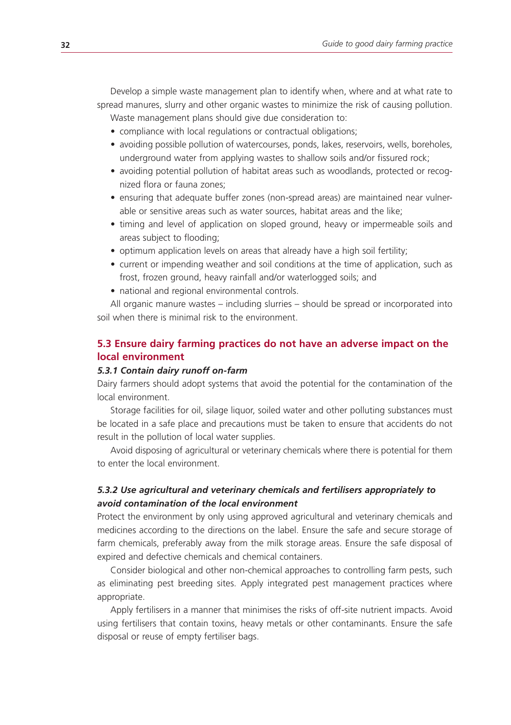Develop a simple waste management plan to identify when, where and at what rate to spread manures, slurry and other organic wastes to minimize the risk of causing pollution. Waste management plans should give due consideration to:

- compliance with local regulations or contractual obligations;
- avoiding possible pollution of watercourses, ponds, lakes, reservoirs, wells, boreholes, underground water from applying wastes to shallow soils and/or fissured rock;
- avoiding potential pollution of habitat areas such as woodlands, protected or recognized flora or fauna zones;
- ensuring that adequate buffer zones (non-spread areas) are maintained near vulnerable or sensitive areas such as water sources, habitat areas and the like;
- timing and level of application on sloped ground, heavy or impermeable soils and areas subject to flooding;
- optimum application levels on areas that already have a high soil fertility;
- current or impending weather and soil conditions at the time of application, such as frost, frozen ground, heavy rainfall and/or waterlogged soils; and
- national and regional environmental controls.

All organic manure wastes – including slurries – should be spread or incorporated into soil when there is minimal risk to the environment.

# **5.3 Ensure dairy farming practices do not have an adverse impact on the local environment**

#### *5.3.1 Contain dairy runoff on-farm*

Dairy farmers should adopt systems that avoid the potential for the contamination of the local environment.

Storage facilities for oil, silage liquor, soiled water and other polluting substances must be located in a safe place and precautions must be taken to ensure that accidents do not result in the pollution of local water supplies.

Avoid disposing of agricultural or veterinary chemicals where there is potential for them to enter the local environment.

# *5.3.2 Use agricultural and veterinary chemicals and fertilisers appropriately to avoid contamination of the local environment*

Protect the environment by only using approved agricultural and veterinary chemicals and medicines according to the directions on the label. Ensure the safe and secure storage of farm chemicals, preferably away from the milk storage areas. Ensure the safe disposal of expired and defective chemicals and chemical containers.

Consider biological and other non-chemical approaches to controlling farm pests, such as eliminating pest breeding sites. Apply integrated pest management practices where appropriate.

Apply fertilisers in a manner that minimises the risks of off-site nutrient impacts. Avoid using fertilisers that contain toxins, heavy metals or other contaminants. Ensure the safe disposal or reuse of empty fertiliser bags.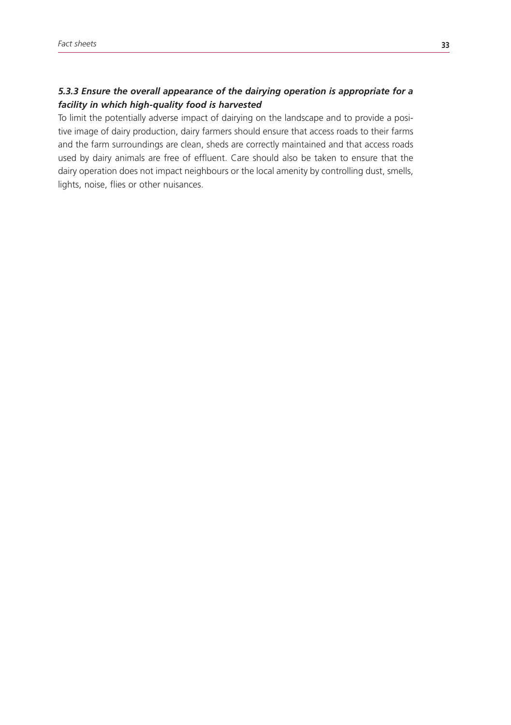# *5.3.3 Ensure the overall appearance of the dairying operation is appropriate for a facility in which high-quality food is harvested*

To limit the potentially adverse impact of dairying on the landscape and to provide a positive image of dairy production, dairy farmers should ensure that access roads to their farms and the farm surroundings are clean, sheds are correctly maintained and that access roads used by dairy animals are free of effluent. Care should also be taken to ensure that the dairy operation does not impact neighbours or the local amenity by controlling dust, smells, lights, noise, flies or other nuisances.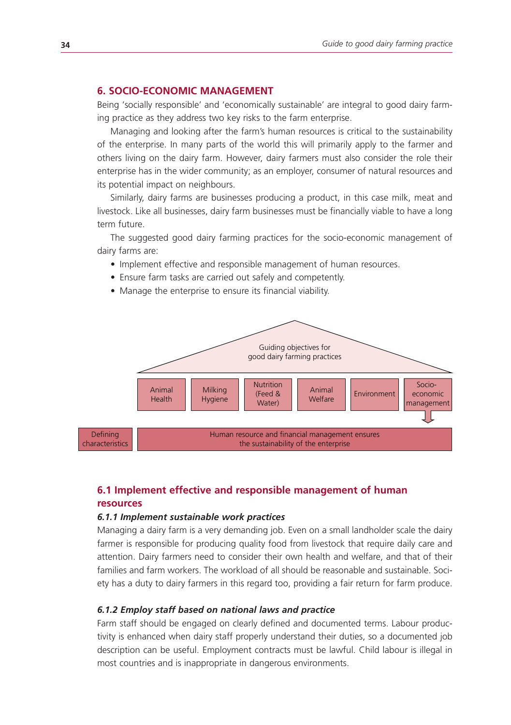# **6. SOCIO-ECONOMIC MANAGEMENT**

Being 'socially responsible' and 'economically sustainable' are integral to good dairy farming practice as they address two key risks to the farm enterprise.

Managing and looking after the farm's human resources is critical to the sustainability of the enterprise. In many parts of the world this will primarily apply to the farmer and others living on the dairy farm. However, dairy farmers must also consider the role their enterprise has in the wider community; as an employer, consumer of natural resources and its potential impact on neighbours.

Similarly, dairy farms are businesses producing a product, in this case milk, meat and livestock. Like all businesses, dairy farm businesses must be financially viable to have a long term future.

The suggested good dairy farming practices for the socio-economic management of dairy farms are:

- Implement effective and responsible management of human resources.
- Ensure farm tasks are carried out safely and competently.
- Manage the enterprise to ensure its financial viability.



# **6.1 Implement effective and responsible management of human resources**

#### *6.1.1 Implement sustainable work practices*

Managing a dairy farm is a very demanding job. Even on a small landholder scale the dairy farmer is responsible for producing quality food from livestock that require daily care and attention. Dairy farmers need to consider their own health and welfare, and that of their families and farm workers. The workload of all should be reasonable and sustainable. Society has a duty to dairy farmers in this regard too, providing a fair return for farm produce.

#### *6.1.2 Employ staff based on national laws and practice*

Farm staff should be engaged on clearly defined and documented terms. Labour productivity is enhanced when dairy staff properly understand their duties, so a documented job description can be useful. Employment contracts must be lawful. Child labour is illegal in most countries and is inappropriate in dangerous environments.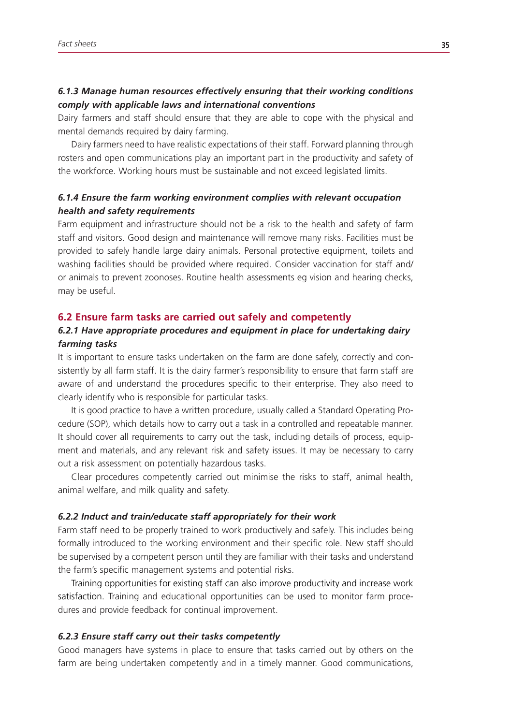# *6.1.3 Manage human resources effectively ensuring that their working conditions comply with applicable laws and international conventions*

Dairy farmers and staff should ensure that they are able to cope with the physical and mental demands required by dairy farming.

Dairy farmers need to have realistic expectations of their staff. Forward planning through rosters and open communications play an important part in the productivity and safety of the workforce. Working hours must be sustainable and not exceed legislated limits.

# *6.1.4 Ensure the farm working environment complies with relevant occupation health and safety requirements*

Farm equipment and infrastructure should not be a risk to the health and safety of farm staff and visitors. Good design and maintenance will remove many risks. Facilities must be provided to safely handle large dairy animals. Personal protective equipment, toilets and washing facilities should be provided where required. Consider vaccination for staff and/ or animals to prevent zoonoses. Routine health assessments eg vision and hearing checks, may be useful.

#### **6.2 Ensure farm tasks are carried out safely and competently**

# *6.2.1 Have appropriate procedures and equipment in place for undertaking dairy farming tasks*

It is important to ensure tasks undertaken on the farm are done safely, correctly and consistently by all farm staff. It is the dairy farmer's responsibility to ensure that farm staff are aware of and understand the procedures specific to their enterprise. They also need to clearly identify who is responsible for particular tasks.

It is good practice to have a written procedure, usually called a Standard Operating Procedure (SOP), which details how to carry out a task in a controlled and repeatable manner. It should cover all requirements to carry out the task, including details of process, equipment and materials, and any relevant risk and safety issues. It may be necessary to carry out a risk assessment on potentially hazardous tasks.

Clear procedures competently carried out minimise the risks to staff, animal health, animal welfare, and milk quality and safety.

#### *6.2.2 Induct and train/educate staff appropriately for their work*

Farm staff need to be properly trained to work productively and safely. This includes being formally introduced to the working environment and their specific role. New staff should be supervised by a competent person until they are familiar with their tasks and understand the farm's specific management systems and potential risks.

Training opportunities for existing staff can also improve productivity and increase work satisfaction. Training and educational opportunities can be used to monitor farm procedures and provide feedback for continual improvement.

#### *6.2.3 Ensure staff carry out their tasks competently*

Good managers have systems in place to ensure that tasks carried out by others on the farm are being undertaken competently and in a timely manner. Good communications,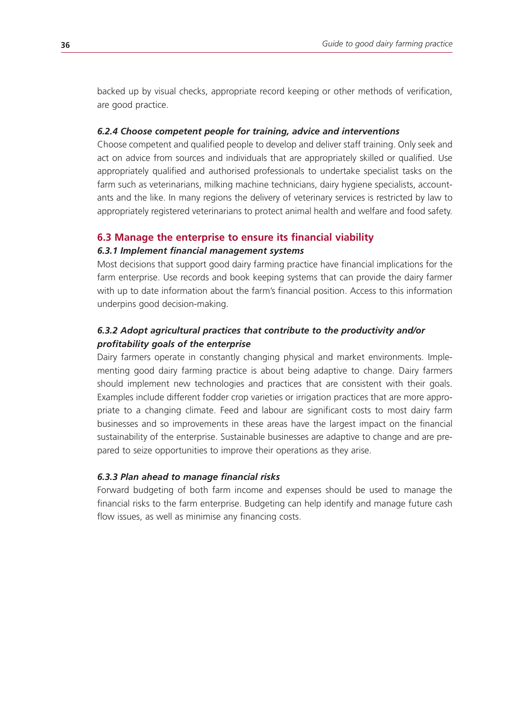backed up by visual checks, appropriate record keeping or other methods of verification, are good practice.

# *6.2.4 Choose competent people for training, advice and interventions*

Choose competent and qualified people to develop and deliver staff training. Only seek and act on advice from sources and individuals that are appropriately skilled or qualified. Use appropriately qualified and authorised professionals to undertake specialist tasks on the farm such as veterinarians, milking machine technicians, dairy hygiene specialists, accountants and the like. In many regions the delivery of veterinary services is restricted by law to appropriately registered veterinarians to protect animal health and welfare and food safety.

#### **6.3 Manage the enterprise to ensure its financial viability**

#### *6.3.1 Implement financial management systems*

Most decisions that support good dairy farming practice have financial implications for the farm enterprise. Use records and book keeping systems that can provide the dairy farmer with up to date information about the farm's financial position. Access to this information underpins good decision-making.

# *6.3.2 Adopt agricultural practices that contribute to the productivity and/or profitability goals of the enterprise*

Dairy farmers operate in constantly changing physical and market environments. Implementing good dairy farming practice is about being adaptive to change. Dairy farmers should implement new technologies and practices that are consistent with their goals. Examples include different fodder crop varieties or irrigation practices that are more appropriate to a changing climate. Feed and labour are significant costs to most dairy farm businesses and so improvements in these areas have the largest impact on the financial sustainability of the enterprise. Sustainable businesses are adaptive to change and are prepared to seize opportunities to improve their operations as they arise.

# *6.3.3 Plan ahead to manage financial risks*

Forward budgeting of both farm income and expenses should be used to manage the financial risks to the farm enterprise. Budgeting can help identify and manage future cash flow issues, as well as minimise any financing costs.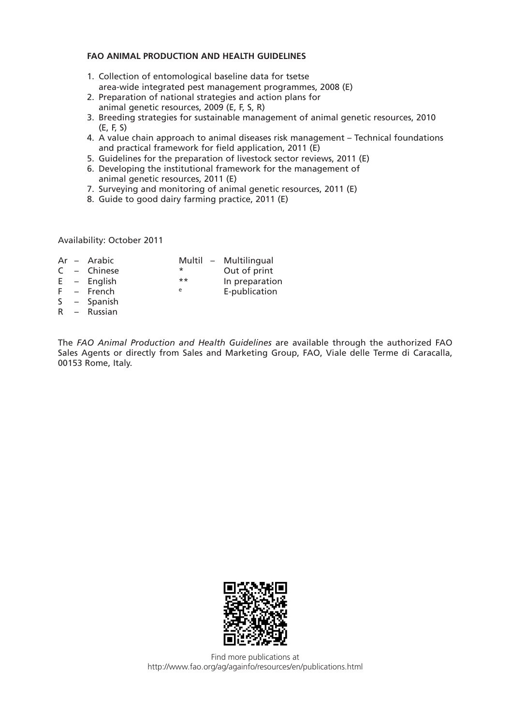#### **FAO ANIMAL PRODUCTION AND HEALTH GUIDELINES**

- 1. Collection of entomological baseline data for tsetse area-wide integrated pest management programmes, 2008 (E)
- 2. Preparation of national strategies and action plans for animal genetic resources, 2009 (E, F, S, R)
- 3. Breeding strategies for sustainable management of animal genetic resources, 2010 (E, F, S)
- 4. A value chain approach to animal diseases risk management Technical foundations and practical framework for field application, 2011 (E)
- 5. Guidelines for the preparation of livestock sector reviews, 2011 (E)
- 6. Developing the institutional framework for the management of animal genetic resources, 2011 (E)
- 7. Surveying and monitoring of animal genetic resources, 2011 (E)
- 8. Guide to good dairy farming practice, 2011 (E)

Availability: October 2011

|  | Ar – Arabic   |        | Multil - Multilingual |
|--|---------------|--------|-----------------------|
|  | $C -$ Chinese | $\ast$ | Out of print          |
|  | $E -$ English | $***$  | In preparation        |
|  | $F -$ French  | e      | E-publication         |
|  | S – Spanish   |        |                       |

R – Russian

The *FAO Animal Production and Health Guidelines* are available through the authorized FAO Sales Agents or directly from Sales and Marketing Group, FAO, Viale delle Terme di Caracalla, 00153 Rome, Italy.



Find more publications at http://www.fao.org/ag/againfo/resources/en/publications.html